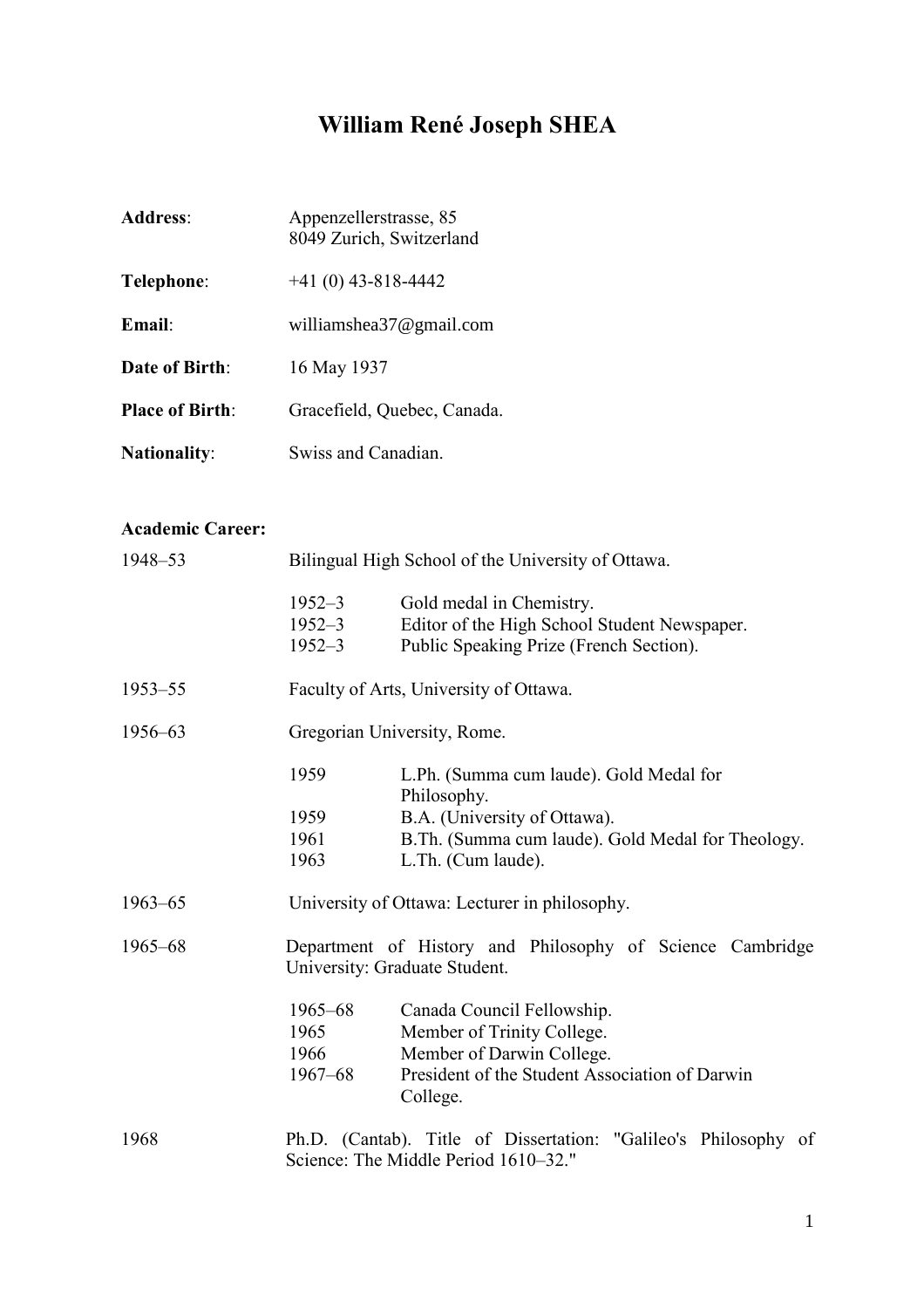# **William René Joseph SHEA**

| <b>Address:</b>        | Appenzellerstrasse, 85<br>8049 Zurich, Switzerland |
|------------------------|----------------------------------------------------|
| Telephone:             | $+41(0)$ 43-818-4442                               |
| $E$ mail <sup>.</sup>  | williamshea37@gmail.com                            |
| <b>Date of Birth:</b>  | 16 May 1937                                        |
| <b>Place of Birth:</b> | Gracefield, Quebec, Canada.                        |
| <b>Nationality:</b>    | Swiss and Canadian.                                |

# **Academic Career:**

| 1948-53     |                                        | Bilingual High School of the University of Ottawa.                                                                                                                |  |  |
|-------------|----------------------------------------|-------------------------------------------------------------------------------------------------------------------------------------------------------------------|--|--|
|             | $1952 - 3$<br>$1952 - 3$<br>$1952 - 3$ | Gold medal in Chemistry.<br>Editor of the High School Student Newspaper.<br>Public Speaking Prize (French Section).                                               |  |  |
| $1953 - 55$ |                                        | Faculty of Arts, University of Ottawa.                                                                                                                            |  |  |
| 1956-63     |                                        | Gregorian University, Rome.                                                                                                                                       |  |  |
|             | 1959<br>1959<br>1961<br>1963           | L.Ph. (Summa cum laude). Gold Medal for<br>Philosophy.<br>B.A. (University of Ottawa).<br>B.Th. (Summa cum laude). Gold Medal for Theology.<br>L.Th. (Cum laude). |  |  |
| $1963 - 65$ |                                        | University of Ottawa: Lecturer in philosophy.                                                                                                                     |  |  |
| 1965-68     |                                        | Department of History and Philosophy of Science Cambridge<br>University: Graduate Student.                                                                        |  |  |
|             | 1965–68<br>1965<br>1966<br>$1967 - 68$ | Canada Council Fellowship.<br>Member of Trinity College.<br>Member of Darwin College.<br>President of the Student Association of Darwin<br>College.               |  |  |
| 1968        |                                        | Ph.D. (Cantab). Title of Dissertation: "Galileo's Philosophy of<br>Science: The Middle Period 1610–32."                                                           |  |  |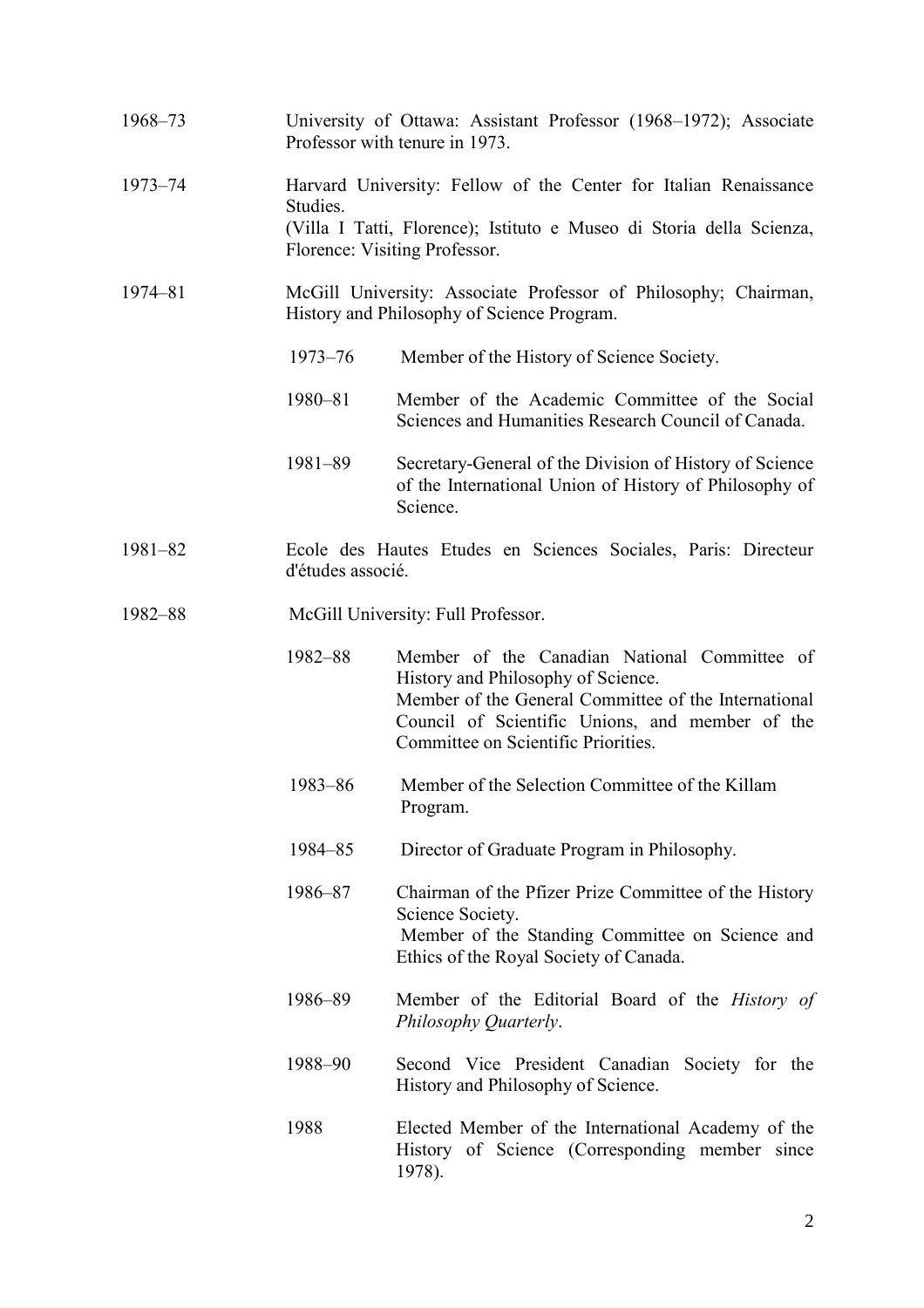| 1968-73     | University of Ottawa: Assistant Professor (1968-1972); Associate<br>Professor with tenure in 1973.                                                                                    |                                                                                                                                                                                                                                      |
|-------------|---------------------------------------------------------------------------------------------------------------------------------------------------------------------------------------|--------------------------------------------------------------------------------------------------------------------------------------------------------------------------------------------------------------------------------------|
| 1973-74     | Harvard University: Fellow of the Center for Italian Renaissance<br>Studies.<br>(Villa I Tatti, Florence); Istituto e Museo di Storia della Scienza,<br>Florence: Visiting Professor. |                                                                                                                                                                                                                                      |
| $1974 - 81$ | McGill University: Associate Professor of Philosophy; Chairman,<br>History and Philosophy of Science Program.                                                                         |                                                                                                                                                                                                                                      |
|             | $1973 - 76$                                                                                                                                                                           | Member of the History of Science Society.                                                                                                                                                                                            |
|             | 1980-81                                                                                                                                                                               | Member of the Academic Committee of the Social<br>Sciences and Humanities Research Council of Canada.                                                                                                                                |
|             | 1981-89                                                                                                                                                                               | Secretary-General of the Division of History of Science<br>of the International Union of History of Philosophy of<br>Science.                                                                                                        |
| $1981 - 82$ | Ecole des Hautes Etudes en Sciences Sociales, Paris: Directeur<br>d'études associé.                                                                                                   |                                                                                                                                                                                                                                      |
| 1982-88     | McGill University: Full Professor.                                                                                                                                                    |                                                                                                                                                                                                                                      |
|             | 1982-88                                                                                                                                                                               | Member of the Canadian National Committee of<br>History and Philosophy of Science.<br>Member of the General Committee of the International<br>Council of Scientific Unions, and member of the<br>Committee on Scientific Priorities. |
|             | 1983-86                                                                                                                                                                               | Member of the Selection Committee of the Killam<br>Program.                                                                                                                                                                          |
|             | 1984-85                                                                                                                                                                               | Director of Graduate Program in Philosophy.                                                                                                                                                                                          |
|             | 1986-87                                                                                                                                                                               | Chairman of the Pfizer Prize Committee of the History<br>Science Society.<br>Member of the Standing Committee on Science and<br>Ethics of the Royal Society of Canada.                                                               |
|             | 1986-89                                                                                                                                                                               | Member of the Editorial Board of the <i>History of</i><br>Philosophy Quarterly.                                                                                                                                                      |
|             | 1988-90                                                                                                                                                                               | Second Vice President Canadian Society for the<br>History and Philosophy of Science.                                                                                                                                                 |
|             | 1988                                                                                                                                                                                  | Elected Member of the International Academy of the<br>History of Science (Corresponding member since<br>1978).                                                                                                                       |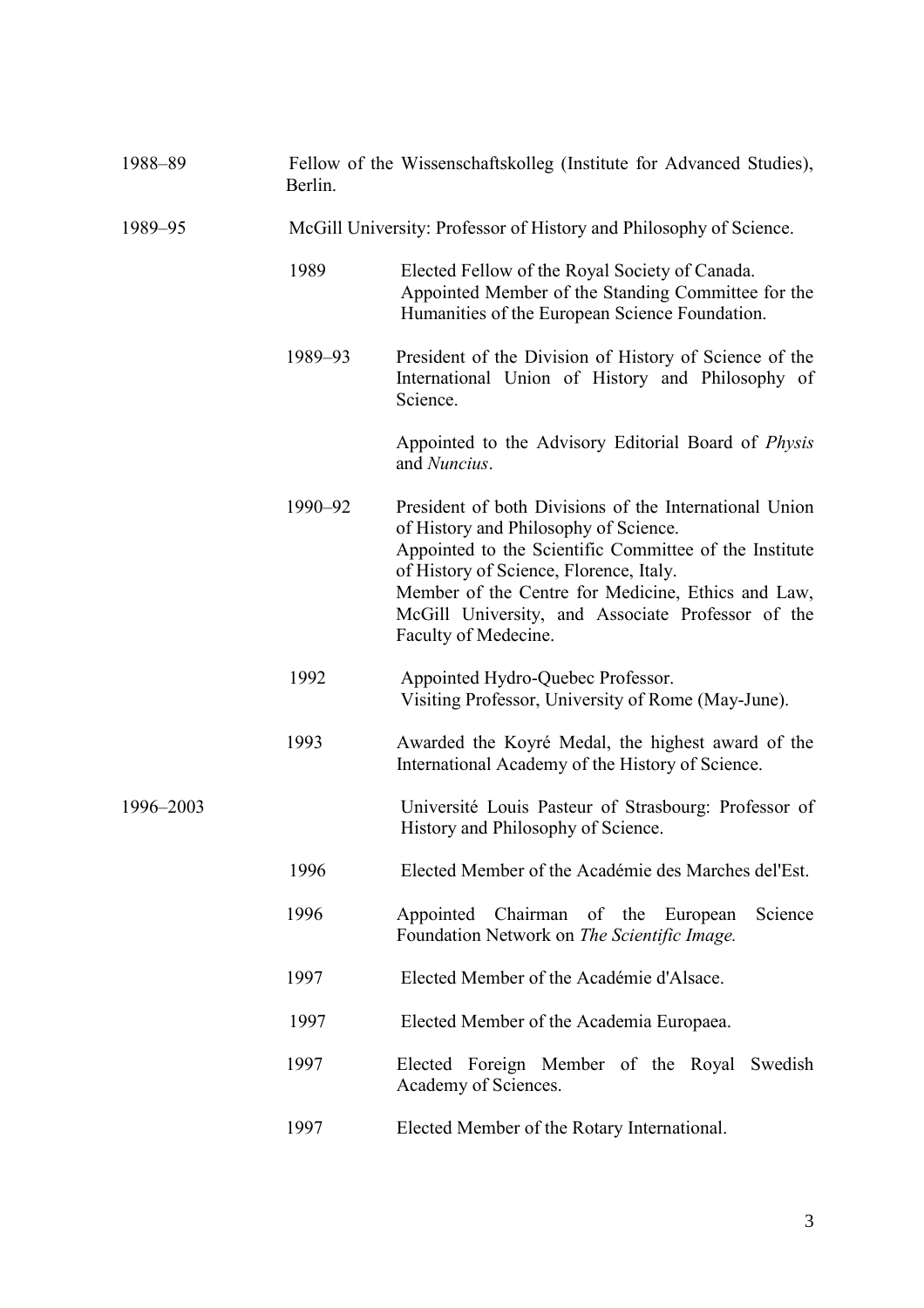| Berlin. | Fellow of the Wissenschaftskolleg (Institute for Advanced Studies),                                                                                                                                                                                                                                                                     |  |
|---------|-----------------------------------------------------------------------------------------------------------------------------------------------------------------------------------------------------------------------------------------------------------------------------------------------------------------------------------------|--|
|         | McGill University: Professor of History and Philosophy of Science.                                                                                                                                                                                                                                                                      |  |
| 1989    | Elected Fellow of the Royal Society of Canada.<br>Appointed Member of the Standing Committee for the<br>Humanities of the European Science Foundation.                                                                                                                                                                                  |  |
| 1989-93 | President of the Division of History of Science of the<br>International Union of History and Philosophy of<br>Science.                                                                                                                                                                                                                  |  |
|         | Appointed to the Advisory Editorial Board of Physis<br>and Nuncius.                                                                                                                                                                                                                                                                     |  |
| 1990-92 | President of both Divisions of the International Union<br>of History and Philosophy of Science.<br>Appointed to the Scientific Committee of the Institute<br>of History of Science, Florence, Italy.<br>Member of the Centre for Medicine, Ethics and Law,<br>McGill University, and Associate Professor of the<br>Faculty of Medecine. |  |
| 1992    | Appointed Hydro-Quebec Professor.<br>Visiting Professor, University of Rome (May-June).                                                                                                                                                                                                                                                 |  |
| 1993    | Awarded the Koyré Medal, the highest award of the<br>International Academy of the History of Science.                                                                                                                                                                                                                                   |  |
|         | Université Louis Pasteur of Strasbourg: Professor of<br>History and Philosophy of Science.                                                                                                                                                                                                                                              |  |
| 1996    | Elected Member of the Académie des Marches del'Est.                                                                                                                                                                                                                                                                                     |  |
| 1996    | Appointed<br>Chairman of the<br>Science<br>European<br>Foundation Network on The Scientific Image.                                                                                                                                                                                                                                      |  |
| 1997    | Elected Member of the Académie d'Alsace.                                                                                                                                                                                                                                                                                                |  |
| 1997    | Elected Member of the Academia Europaea.                                                                                                                                                                                                                                                                                                |  |
| 1997    | Elected Foreign Member of the Royal Swedish<br>Academy of Sciences.                                                                                                                                                                                                                                                                     |  |
| 1997    | Elected Member of the Rotary International.                                                                                                                                                                                                                                                                                             |  |
|         |                                                                                                                                                                                                                                                                                                                                         |  |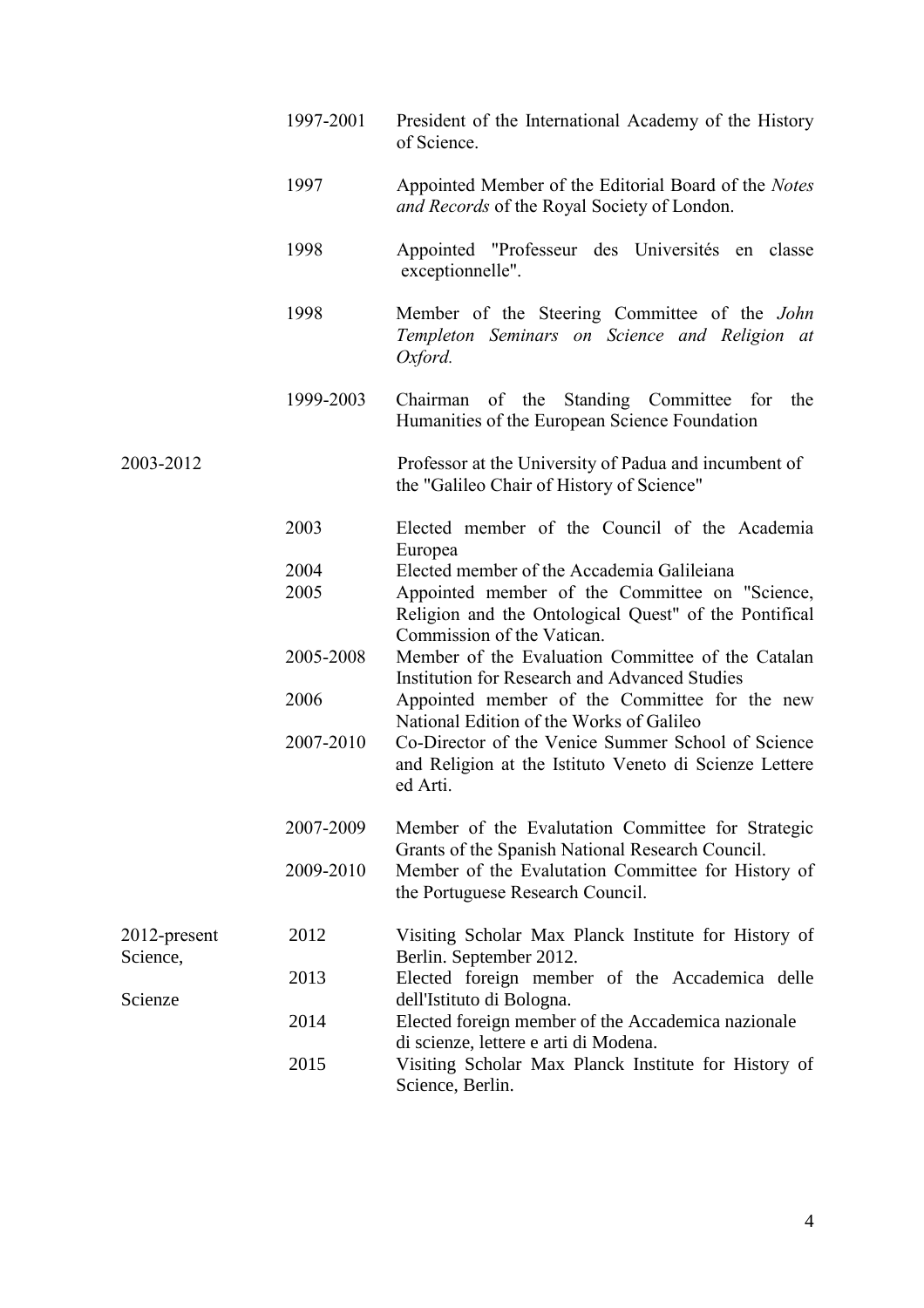|                          | 1997-2001 | President of the International Academy of the History<br>of Science.                                                                                                       |
|--------------------------|-----------|----------------------------------------------------------------------------------------------------------------------------------------------------------------------------|
|                          | 1997      | Appointed Member of the Editorial Board of the Notes<br>and Records of the Royal Society of London.                                                                        |
|                          | 1998      | Appointed "Professeur des Universités en classe<br>exceptionnelle".                                                                                                        |
|                          | 1998      | Member of the Steering Committee of the <i>John</i><br>Templeton Seminars on Science and Religion at<br>Oxford.                                                            |
|                          | 1999-2003 | Chairman of the<br>Standing Committee<br>the<br>for<br>Humanities of the European Science Foundation                                                                       |
| 2003-2012                |           | Professor at the University of Padua and incumbent of<br>the "Galileo Chair of History of Science"                                                                         |
|                          | 2003      | Elected member of the Council of the Academia                                                                                                                              |
|                          | 2004      | Europea<br>Elected member of the Accademia Galileiana                                                                                                                      |
|                          | 2005      | Appointed member of the Committee on "Science,<br>Religion and the Ontological Quest" of the Pontifical<br>Commission of the Vatican.                                      |
|                          | 2005-2008 | Member of the Evaluation Committee of the Catalan<br><b>Institution for Research and Advanced Studies</b>                                                                  |
|                          | 2006      | Appointed member of the Committee for the new<br>National Edition of the Works of Galileo                                                                                  |
|                          | 2007-2010 | Co-Director of the Venice Summer School of Science<br>and Religion at the Istituto Veneto di Scienze Lettere<br>ed Arti.                                                   |
|                          | 2007-2009 | Member of the Evalutation Committee for Strategic<br>Grants of the Spanish National Research Council.                                                                      |
|                          | 2009-2010 | Member of the Evalutation Committee for History of<br>the Portuguese Research Council.                                                                                     |
| 2012-present<br>Science, | 2012      | Visiting Scholar Max Planck Institute for History of<br>Berlin. September 2012.                                                                                            |
| Scienze                  | 2013      | Elected foreign member of the Accademica delle<br>dell'Istituto di Bologna.<br>Elected foreign member of the Accademica nazionale<br>di scienze, lettere e arti di Modena. |
|                          | 2014      |                                                                                                                                                                            |
|                          | 2015      | Visiting Scholar Max Planck Institute for History of<br>Science, Berlin.                                                                                                   |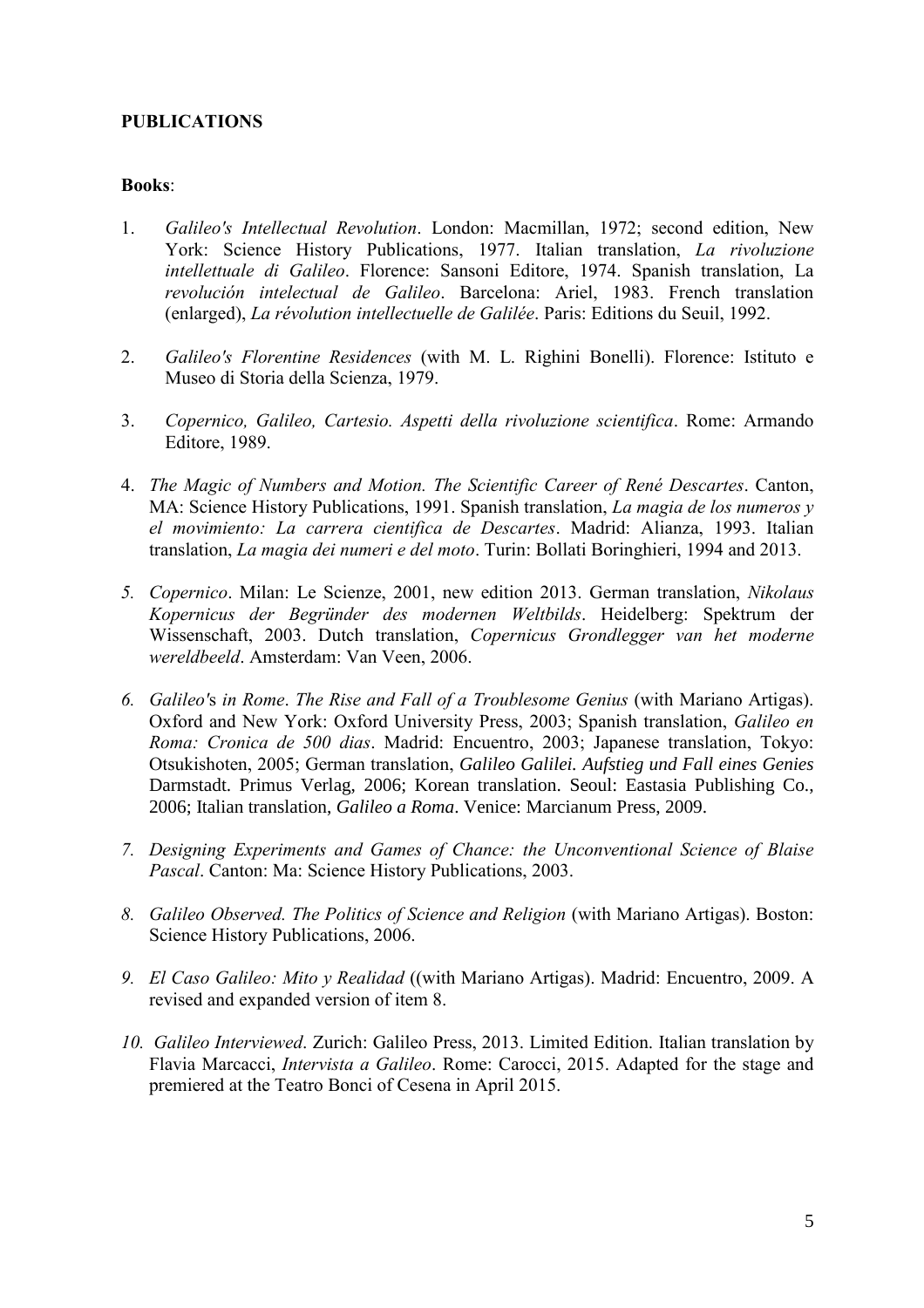## **PUBLICATIONS**

#### **Books**:

- 1. *Galileo's Intellectual Revolution*. London: Macmillan, 1972; second edition, New York: Science History Publications, 1977. Italian translation, *La rivoluzione intellettuale di Galileo*. Florence: Sansoni Editore, 1974. Spanish translation, La *revolución intelectual de Galileo*. Barcelona: Ariel, 1983. French translation (enlarged), *La révolution intellectuelle de Galilée*. Paris: Editions du Seuil, 1992.
- 2. *Galileo's Florentine Residences* (with M. L. Righini Bonelli). Florence: Istituto e Museo di Storia della Scienza, 1979.
- 3. *Copernico, Galileo, Cartesio. Aspetti della rivoluzione scientifica*. Rome: Armando Editore, 1989.
- 4. *The Magic of Numbers and Motion. The Scientific Career of René Descartes*. Canton, MA: Science History Publications, 1991. Spanish translation, *La magia de los numeros y el movimiento: La carrera cientifica de Descartes*. Madrid: Alianza, 1993. Italian translation, *La magia dei numeri e del moto*. Turin: Bollati Boringhieri, 1994 and 2013.
- *5. Copernico*. Milan: Le Scienze, 2001, new edition 2013. German translation, *Nikolaus Kopernicus der Begründer des modernen Weltbilds*. Heidelberg: Spektrum der Wissenschaft, 2003. Dutch translation, *Copernicus Grondlegger van het moderne wereldbeeld*. Amsterdam: Van Veen, 2006.
- *6. Galileo'*s *in Rome*. *The Rise and Fall of a Troublesome Genius* (with Mariano Artigas). Oxford and New York: Oxford University Press, 2003; Spanish translation, *Galileo en Roma: Cronica de 500 dias*. Madrid: Encuentro, 2003; Japanese translation, Tokyo: Otsukishoten, 2005; German translation, *Galileo Galilei. Aufstieg und Fall eines Genies* Darmstadt. Primus Verlag, 2006; Korean translation. Seoul: Eastasia Publishing Co., 2006; Italian translation, *Galileo a Roma*. Venice: Marcianum Press, 2009.
- *7. Designing Experiments and Games of Chance: the Unconventional Science of Blaise Pascal*. Canton: Ma: Science History Publications, 2003.
- *8. Galileo Observed. The Politics of Science and Religion* (with Mariano Artigas). Boston: Science History Publications, 2006.
- *9. El Caso Galileo: Mito y Realidad* ((with Mariano Artigas). Madrid: Encuentro, 2009. A revised and expanded version of item 8.
- *10. Galileo Interviewed*. Zurich: Galileo Press, 2013. Limited Edition. Italian translation by Flavia Marcacci, *Intervista a Galileo*. Rome: Carocci, 2015. Adapted for the stage and premiered at the Teatro Bonci of Cesena in April 2015.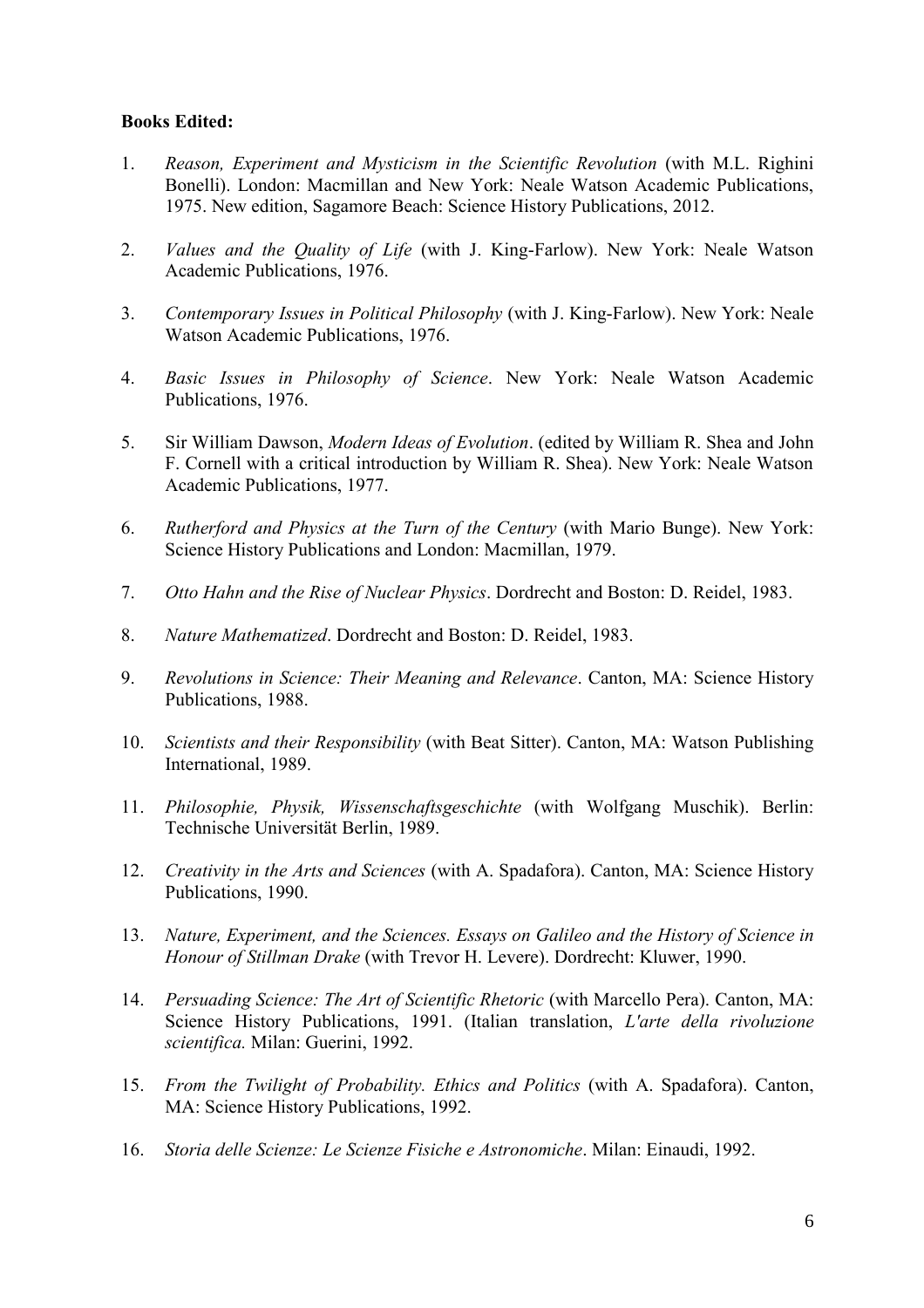### **Books Edited:**

- 1. *Reason, Experiment and Mysticism in the Scientific Revolution* (with M.L. Righini Bonelli). London: Macmillan and New York: Neale Watson Academic Publications, 1975. New edition, Sagamore Beach: Science History Publications, 2012.
- 2. *Values and the Quality of Life* (with J. King-Farlow). New York: Neale Watson Academic Publications, 1976.
- 3. *Contemporary Issues in Political Philosophy* (with J. King-Farlow). New York: Neale Watson Academic Publications, 1976.
- 4. *Basic Issues in Philosophy of Science*. New York: Neale Watson Academic Publications, 1976.
- 5. Sir William Dawson, *Modern Ideas of Evolution*. (edited by William R. Shea and John F. Cornell with a critical introduction by William R. Shea). New York: Neale Watson Academic Publications, 1977.
- 6. *Rutherford and Physics at the Turn of the Century* (with Mario Bunge). New York: Science History Publications and London: Macmillan, 1979.
- 7. *Otto Hahn and the Rise of Nuclear Physics*. Dordrecht and Boston: D. Reidel, 1983.
- 8. *Nature Mathematized*. Dordrecht and Boston: D. Reidel, 1983.
- 9. *Revolutions in Science: Their Meaning and Relevance*. Canton, MA: Science History Publications, 1988.
- 10. *Scientists and their Responsibility* (with Beat Sitter). Canton, MA: Watson Publishing International, 1989.
- 11. *Philosophie, Physik, Wissenschaftsgeschichte* (with Wolfgang Muschik). Berlin: Technische Universität Berlin, 1989.
- 12. *Creativity in the Arts and Sciences* (with A. Spadafora). Canton, MA: Science History Publications, 1990.
- 13. *Nature, Experiment, and the Sciences. Essays on Galileo and the History of Science in Honour of Stillman Drake* (with Trevor H. Levere). Dordrecht: Kluwer, 1990.
- 14. *Persuading Science: The Art of Scientific Rhetoric* (with Marcello Pera). Canton, MA: Science History Publications, 1991. (Italian translation, *L'arte della rivoluzione scientifica.* Milan: Guerini, 1992.
- 15. *From the Twilight of Probability. Ethics and Politics* (with A. Spadafora). Canton, MA: Science History Publications, 1992.
- 16. *Storia delle Scienze: Le Scienze Fisiche e Astronomiche*. Milan: Einaudi, 1992.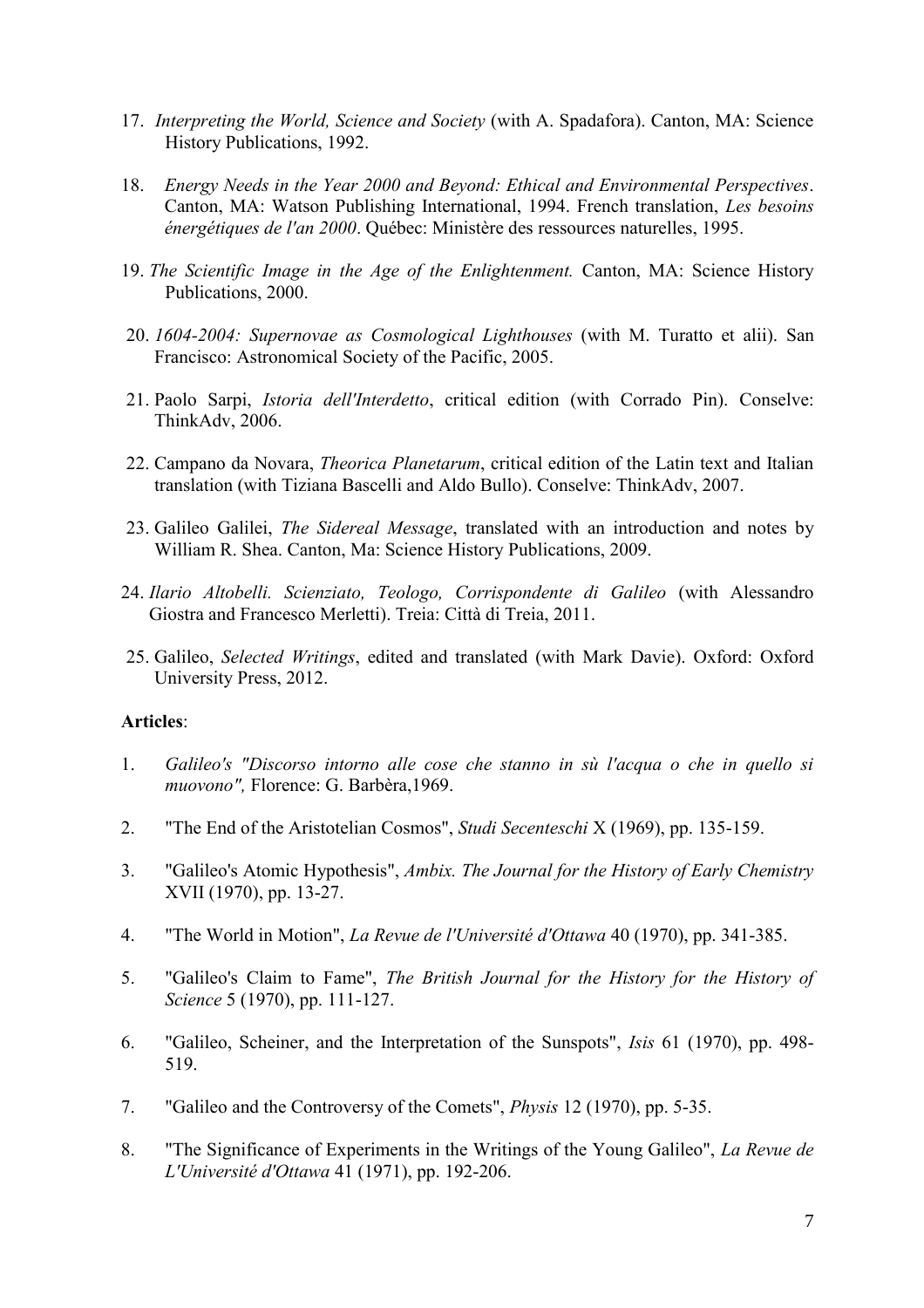- 17. *Interpreting the World, Science and Society* (with A. Spadafora). Canton, MA: Science History Publications, 1992.
- 18. *Energy Needs in the Year 2000 and Beyond: Ethical and Environmental Perspectives*. Canton, MA: Watson Publishing International, 1994. French translation, *Les besoins énergétiques de l'an 2000*. Québec: Ministère des ressources naturelles, 1995.
- 19. *The Scientific Image in the Age of the Enlightenment.* Canton, MA: Science History Publications, 2000.
- 20. *1604-2004: Supernovae as Cosmological Lighthouses* (with M. Turatto et alii). San Francisco: Astronomical Society of the Pacific, 2005.
- 21. Paolo Sarpi, *Istoria dell'Interdetto*, critical edition (with Corrado Pin). Conselve: ThinkAdv, 2006.
- 22. Campano da Novara, *Theorica Planetarum*, critical edition of the Latin text and Italian translation (with Tiziana Bascelli and Aldo Bullo). Conselve: ThinkAdv, 2007.
- 23. Galileo Galilei, *The Sidereal Message*, translated with an introduction and notes by William R. Shea. Canton, Ma: Science History Publications, 2009.
- 24. *Ilario Altobelli. Scienziato, Teologo, Corrispondente di Galileo* (with Alessandro Giostra and Francesco Merletti). Treia: Città di Treia, 2011.
- 25. Galileo, *Selected Writings*, edited and translated (with Mark Davie). Oxford: Oxford University Press, 2012.

#### **Articles**:

- 1. *Galileo's "Discorso intorno alle cose che stanno in sù l'acqua o che in quello si muovono",* Florence: G. Barbèra,1969.
- 2. "The End of the Aristotelian Cosmos", *Studi Secenteschi* X (1969), pp. 135-159.
- 3. "Galileo's Atomic Hypothesis", *Ambix. The Journal for the History of Early Chemistry* XVII (1970), pp. 13-27.
- 4. "The World in Motion", *La Revue de l'Université d'Ottawa* 40 (1970), pp. 341-385.
- 5. "Galileo's Claim to Fame", *The British Journal for the History for the History of Science* 5 (1970), pp. 111-127.
- 6. "Galileo, Scheiner, and the Interpretation of the Sunspots", *Isis* 61 (1970), pp. 498- 519.
- 7. "Galileo and the Controversy of the Comets", *Physis* 12 (1970), pp. 5-35.
- 8. "The Significance of Experiments in the Writings of the Young Galileo", *La Revue de L'Université d'Ottawa* 41 (1971), pp. 192-206.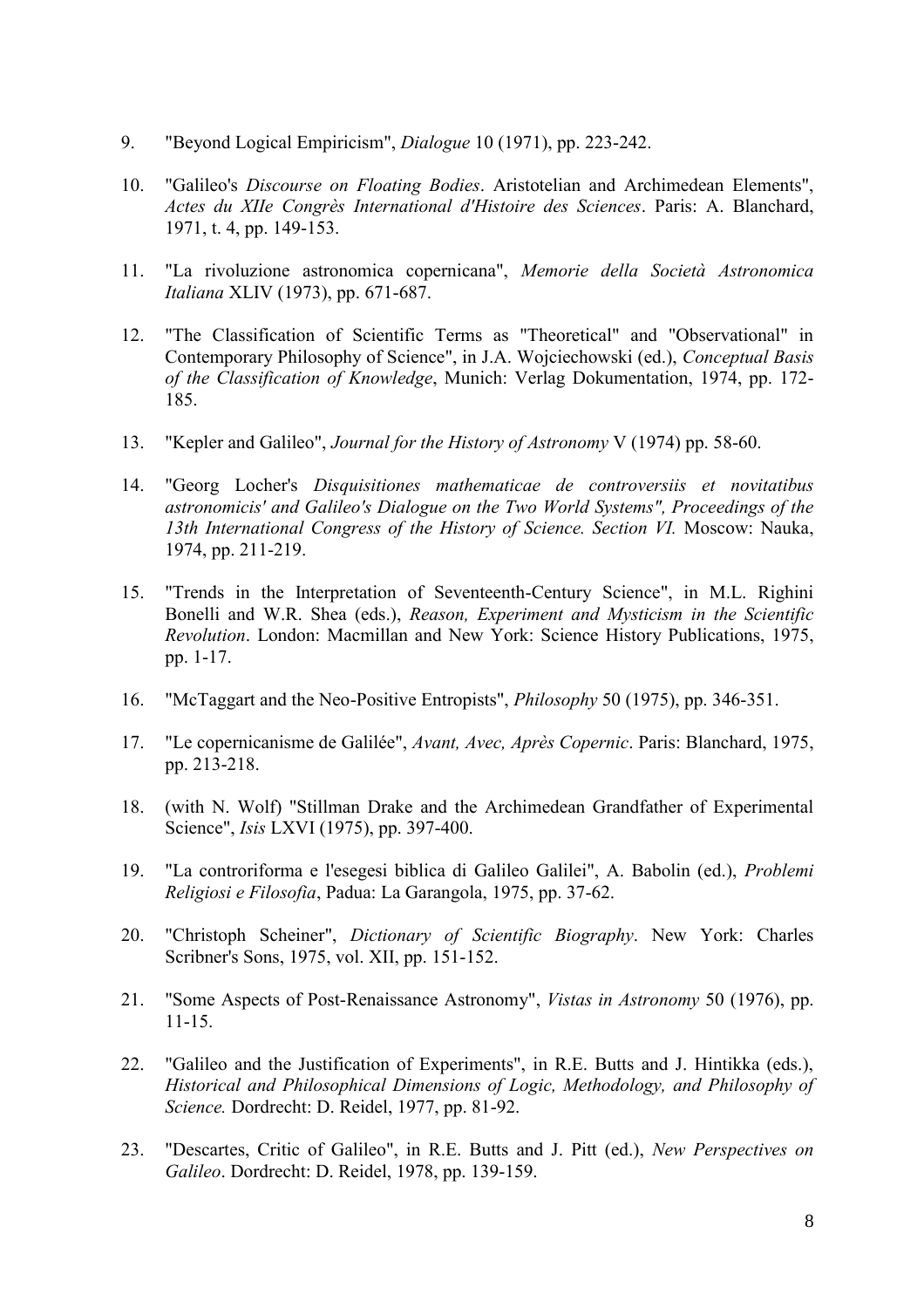- 9. "Beyond Logical Empiricism", *Dialogue* 10 (1971), pp. 223-242.
- 10. "Galileo's *Discourse on Floating Bodies*. Aristotelian and Archimedean Elements", *Actes du XIIe Congrès International d'Histoire des Sciences*. Paris: A. Blanchard, 1971, t. 4, pp. 149-153.
- 11. "La rivoluzione astronomica copernicana", *Memorie della Società Astronomica Italiana* XLIV (1973), pp. 671-687.
- 12. "The Classification of Scientific Terms as "Theoretical" and "Observational" in Contemporary Philosophy of Science", in J.A. Wojciechowski (ed.), *Conceptual Basis of the Classification of Knowledge*, Munich: Verlag Dokumentation, 1974, pp. 172- 185.
- 13. "Kepler and Galileo", *Journal for the History of Astronomy* V (1974) pp. 58-60.
- 14. "Georg Locher's *Disquisitiones mathematicae de controversiis et novitatibus astronomicis' and Galileo's Dialogue on the Two World Systems", Proceedings of the 13th International Congress of the History of Science. Section VI.* Moscow: Nauka, 1974, pp. 211-219.
- 15. "Trends in the Interpretation of Seventeenth-Century Science", in M.L. Righini Bonelli and W.R. Shea (eds.), *Reason, Experiment and Mysticism in the Scientific Revolution*. London: Macmillan and New York: Science History Publications, 1975, pp. 1-17.
- 16. "McTaggart and the Neo-Positive Entropists", *Philosophy* 50 (1975), pp. 346-351.
- 17. "Le copernicanisme de Galilée", *Avant, Avec, Après Copernic*. Paris: Blanchard, 1975, pp. 213-218.
- 18. (with N. Wolf) "Stillman Drake and the Archimedean Grandfather of Experimental Science", *Isis* LXVI (1975), pp. 397-400.
- 19. "La controriforma e l'esegesi biblica di Galileo Galilei", A. Babolin (ed.), *Problemi Religiosi e Filosofia*, Padua: La Garangola, 1975, pp. 37-62.
- 20. "Christoph Scheiner", *Dictionary of Scientific Biography*. New York: Charles Scribner's Sons, 1975, vol. XII, pp. 151-152.
- 21. "Some Aspects of Post-Renaissance Astronomy", *Vistas in Astronomy* 50 (1976), pp. 11-15.
- 22. "Galileo and the Justification of Experiments", in R.E. Butts and J. Hintikka (eds.), *Historical and Philosophical Dimensions of Logic, Methodology, and Philosophy of Science.* Dordrecht: D. Reidel, 1977, pp. 81-92.
- 23. "Descartes, Critic of Galileo", in R.E. Butts and J. Pitt (ed.), *New Perspectives on Galileo*. Dordrecht: D. Reidel, 1978, pp. 139-159.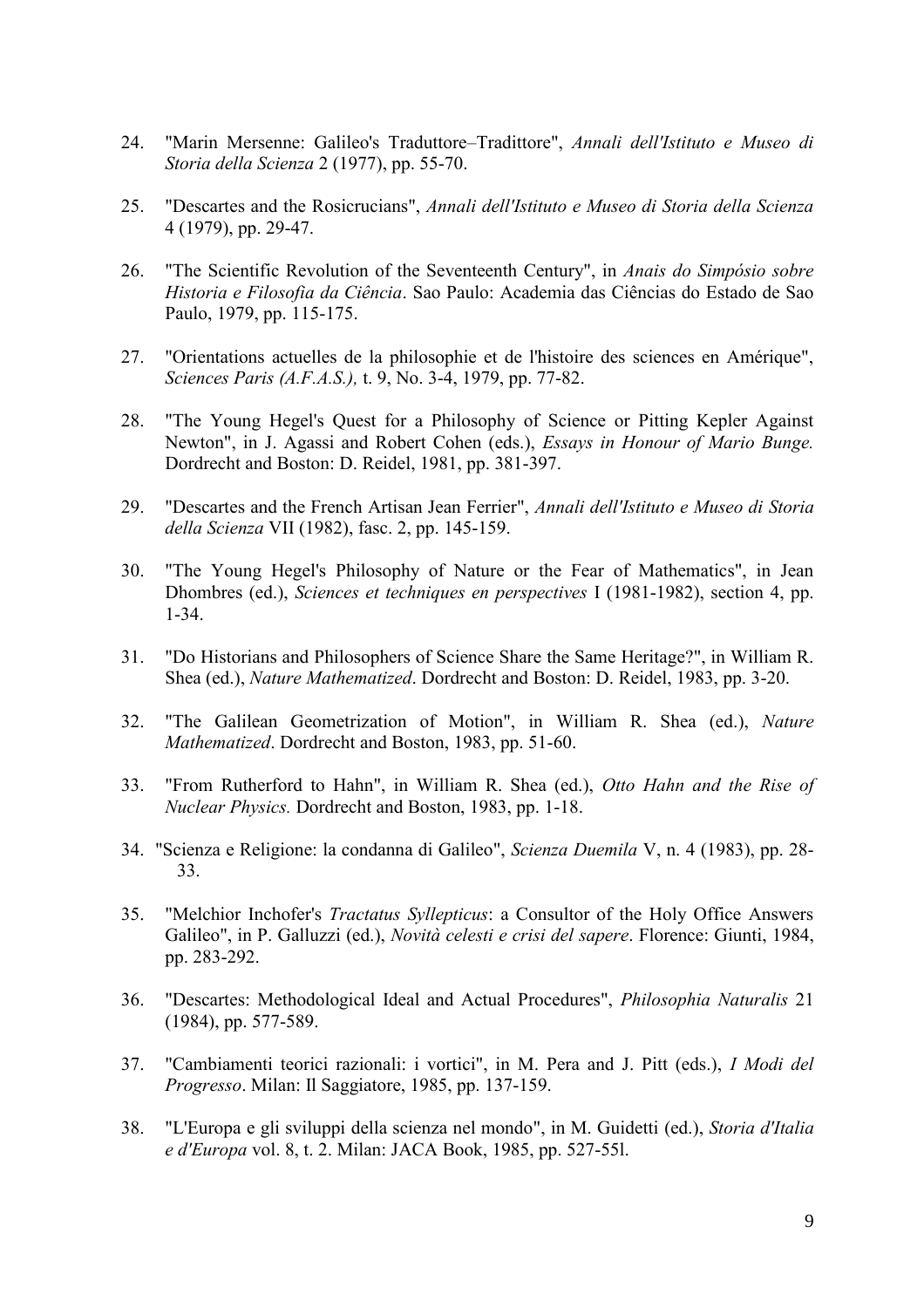- 24. "Marin Mersenne: Galileo's Traduttore–Tradittore", *Annali dell'Istituto e Museo di Storia della Scienza* 2 (1977), pp. 55-70.
- 25. "Descartes and the Rosicrucians", *Annali dell'Istituto e Museo di Storia della Scienza* 4 (1979), pp. 29-47.
- 26. "The Scientific Revolution of the Seventeenth Century", in *Anais do Simpósio sobre Historia e Filosofia da Ciência*. Sao Paulo: Academia das Ciências do Estado de Sao Paulo, 1979, pp. 115-175.
- 27. "Orientations actuelles de la philosophie et de l'histoire des sciences en Amérique", *Sciences Paris (A.F.A.S.),* t. 9, No. 3-4, 1979, pp. 77-82.
- 28. "The Young Hegel's Quest for a Philosophy of Science or Pitting Kepler Against Newton", in J. Agassi and Robert Cohen (eds.), *Essays in Honour of Mario Bunge.* Dordrecht and Boston: D. Reidel, 1981, pp. 381-397.
- 29. "Descartes and the French Artisan Jean Ferrier", *Annali dell'Istituto e Museo di Storia della Scienza* VII (1982), fasc. 2, pp. 145-159.
- 30. "The Young Hegel's Philosophy of Nature or the Fear of Mathematics", in Jean Dhombres (ed.), *Sciences et techniques en perspectives* I (1981-1982), section 4, pp. 1-34.
- 31. "Do Historians and Philosophers of Science Share the Same Heritage?", in William R. Shea (ed.), *Nature Mathematized*. Dordrecht and Boston: D. Reidel, 1983, pp. 3-20.
- 32. "The Galilean Geometrization of Motion", in William R. Shea (ed.), *Nature Mathematized*. Dordrecht and Boston, 1983, pp. 51-60.
- 33. "From Rutherford to Hahn", in William R. Shea (ed.), *Otto Hahn and the Rise of Nuclear Physics.* Dordrecht and Boston, 1983, pp. 1-18.
- 34. "Scienza e Religione: la condanna di Galileo", *Scienza Duemila* V, n. 4 (1983), pp. 28- 33.
- 35. "Melchior Inchofer's *Tractatus Syllepticus*: a Consultor of the Holy Office Answers Galileo", in P. Galluzzi (ed.), *Novità celesti e crisi del sapere*. Florence: Giunti, 1984, pp. 283-292.
- 36. "Descartes: Methodological Ideal and Actual Procedures", *Philosophia Naturalis* 21 (1984), pp. 577-589.
- 37. "Cambiamenti teorici razionali: i vortici", in M. Pera and J. Pitt (eds.), *I Modi del Progresso*. Milan: Il Saggiatore, 1985, pp. 137-159.
- 38. "L'Europa e gli sviluppi della scienza nel mondo", in M. Guidetti (ed.), *Storia d'Italia e d'Europa* vol. 8, t. 2. Milan: JACA Book, 1985, pp. 527-55l.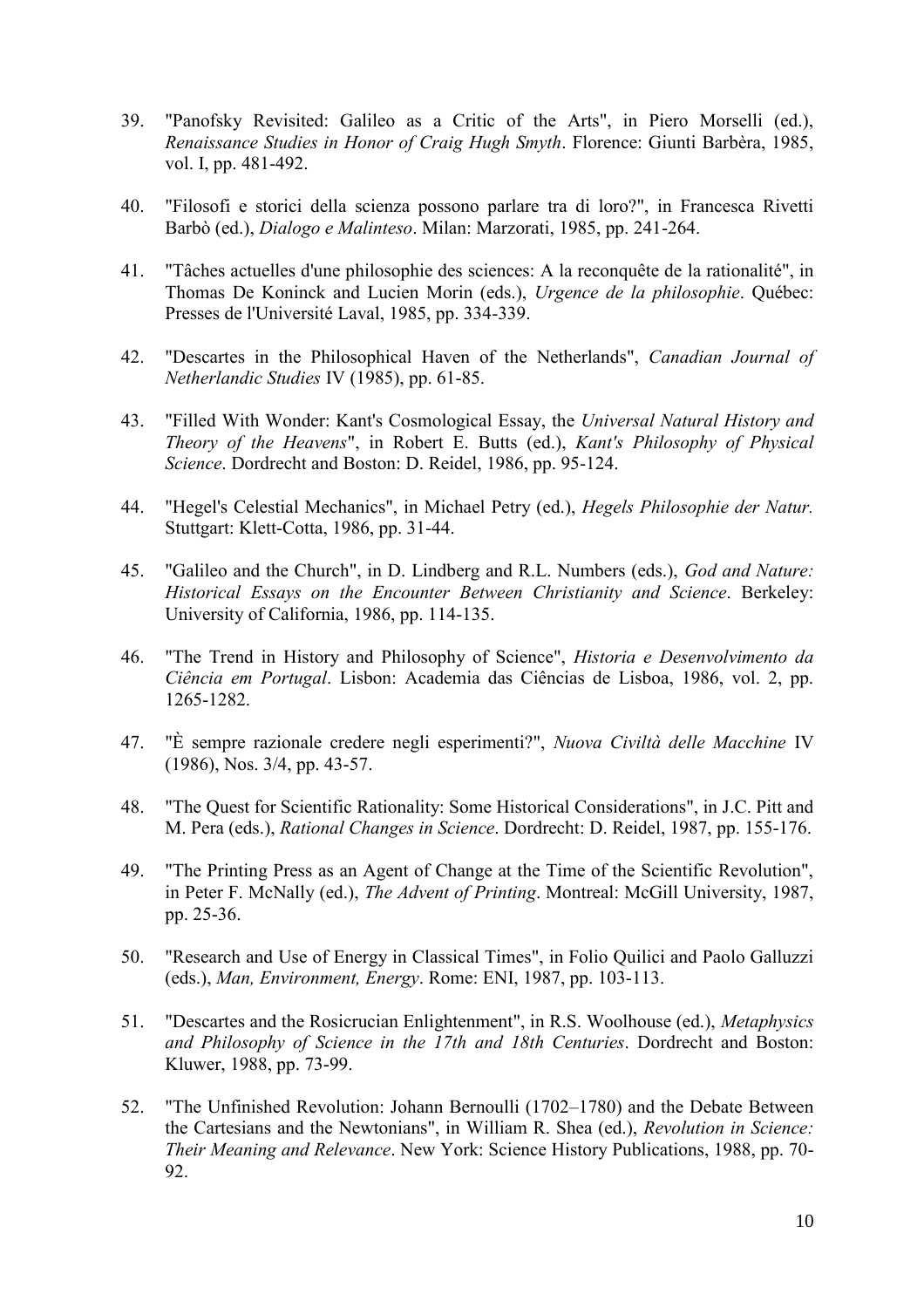- 39. "Panofsky Revisited: Galileo as a Critic of the Arts", in Piero Morselli (ed.), *Renaissance Studies in Honor of Craig Hugh Smyth*. Florence: Giunti Barbèra, 1985, vol. I, pp. 481-492.
- 40. "Filosofi e storici della scienza possono parlare tra di loro?", in Francesca Rivetti Barbò (ed.), *Dialogo e Malinteso*. Milan: Marzorati, 1985, pp. 241-264.
- 41. "Tâches actuelles d'une philosophie des sciences: A la reconquête de la rationalité", in Thomas De Koninck and Lucien Morin (eds.), *Urgence de la philosophie*. Québec: Presses de l'Université Laval, 1985, pp. 334-339.
- 42. "Descartes in the Philosophical Haven of the Netherlands", *Canadian Journal of Netherlandic Studies* IV (1985), pp. 61-85.
- 43. "Filled With Wonder: Kant's Cosmological Essay, the *Universal Natural History and Theory of the Heavens*", in Robert E. Butts (ed.), *Kant's Philosophy of Physical Science*. Dordrecht and Boston: D. Reidel, 1986, pp. 95-124.
- 44. "Hegel's Celestial Mechanics", in Michael Petry (ed.), *Hegels Philosophie der Natur.* Stuttgart: Klett-Cotta, 1986, pp. 31-44.
- 45. "Galileo and the Church", in D. Lindberg and R.L. Numbers (eds.), *God and Nature: Historical Essays on the Encounter Between Christianity and Science*. Berkeley: University of California, 1986, pp. 114-135.
- 46. "The Trend in History and Philosophy of Science", *Historia e Desenvolvimento da Ciência em Portugal*. Lisbon: Academia das Ciências de Lisboa, 1986, vol. 2, pp. 1265-1282.
- 47. "È sempre razionale credere negli esperimenti?", *Nuova Civiltà delle Macchine* IV (1986), Nos. 3/4, pp. 43-57.
- 48. "The Quest for Scientific Rationality: Some Historical Considerations", in J.C. Pitt and M. Pera (eds.), *Rational Changes in Science*. Dordrecht: D. Reidel, 1987, pp. 155-176.
- 49. "The Printing Press as an Agent of Change at the Time of the Scientific Revolution", in Peter F. McNally (ed.), *The Advent of Printing*. Montreal: McGill University, 1987, pp. 25-36.
- 50. "Research and Use of Energy in Classical Times", in Folio Quilici and Paolo Galluzzi (eds.), *Man, Environment, Energy*. Rome: ENI, 1987, pp. 103-113.
- 51. "Descartes and the Rosicrucian Enlightenment", in R.S. Woolhouse (ed.), *Metaphysics and Philosophy of Science in the 17th and 18th Centuries*. Dordrecht and Boston: Kluwer, 1988, pp. 73-99.
- 52. "The Unfinished Revolution: Johann Bernoulli (1702–1780) and the Debate Between the Cartesians and the Newtonians", in William R. Shea (ed.), *Revolution in Science: Their Meaning and Relevance*. New York: Science History Publications, 1988, pp. 70- 92.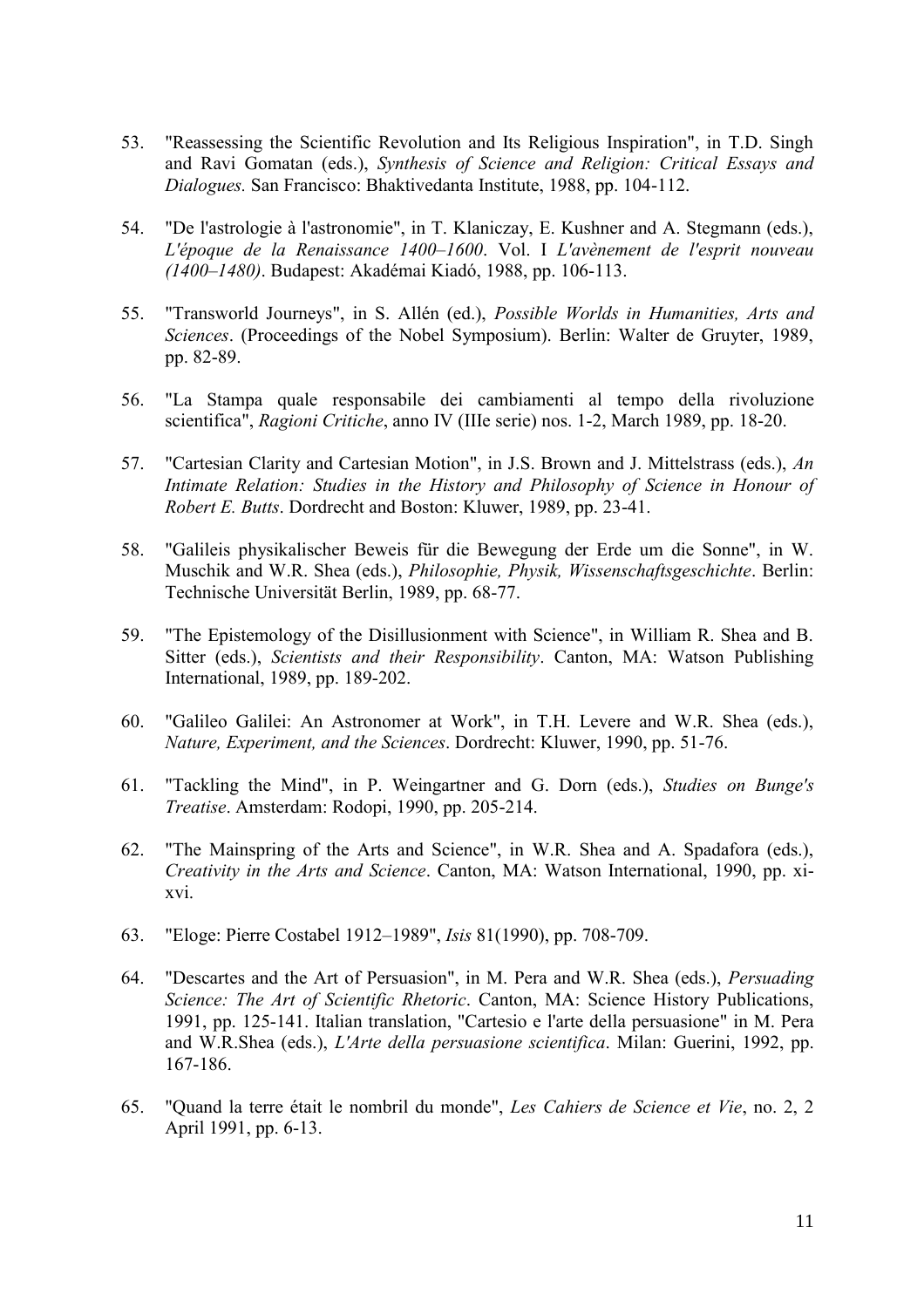- 53. "Reassessing the Scientific Revolution and Its Religious Inspiration", in T.D. Singh and Ravi Gomatan (eds.), *Synthesis of Science and Religion: Critical Essays and Dialogues.* San Francisco: Bhaktivedanta Institute, 1988, pp. 104-112.
- 54. "De l'astrologie à l'astronomie", in T. Klaniczay, E. Kushner and A. Stegmann (eds.), *L'époque de la Renaissance 1400–1600*. Vol. I *L'avènement de l'esprit nouveau (1400–1480)*. Budapest: Akadémai Kiadó, 1988, pp. 106-113.
- 55. "Transworld Journeys", in S. Allén (ed.), *Possible Worlds in Humanities, Arts and Sciences*. (Proceedings of the Nobel Symposium). Berlin: Walter de Gruyter, 1989, pp. 82-89.
- 56. "La Stampa quale responsabile dei cambiamenti al tempo della rivoluzione scientifica", *Ragioni Critiche*, anno IV (IIIe serie) nos. 1-2, March 1989, pp. 18-20.
- 57. "Cartesian Clarity and Cartesian Motion", in J.S. Brown and J. Mittelstrass (eds.), *An Intimate Relation: Studies in the History and Philosophy of Science in Honour of Robert E. Butts*. Dordrecht and Boston: Kluwer, 1989, pp. 23-41.
- 58. "Galileis physikalischer Beweis für die Bewegung der Erde um die Sonne", in W. Muschik and W.R. Shea (eds.), *Philosophie, Physik, Wissenschaftsgeschichte*. Berlin: Technische Universität Berlin, 1989, pp. 68-77.
- 59. "The Epistemology of the Disillusionment with Science", in William R. Shea and B. Sitter (eds.), *Scientists and their Responsibility*. Canton, MA: Watson Publishing International, 1989, pp. 189-202.
- 60. "Galileo Galilei: An Astronomer at Work", in T.H. Levere and W.R. Shea (eds.), *Nature, Experiment, and the Sciences*. Dordrecht: Kluwer, 1990, pp. 51-76.
- 61. "Tackling the Mind", in P. Weingartner and G. Dorn (eds.), *Studies on Bunge's Treatise*. Amsterdam: Rodopi, 1990, pp. 205-214.
- 62. "The Mainspring of the Arts and Science", in W.R. Shea and A. Spadafora (eds.), *Creativity in the Arts and Science*. Canton, MA: Watson International, 1990, pp. xixvi.
- 63. "Eloge: Pierre Costabel 1912–1989", *Isis* 81(1990), pp. 708-709.
- 64. "Descartes and the Art of Persuasion", in M. Pera and W.R. Shea (eds.), *Persuading Science: The Art of Scientific Rhetoric*. Canton, MA: Science History Publications, 1991, pp. 125-141. Italian translation, "Cartesio e l'arte della persuasione" in M. Pera and W.R.Shea (eds.), *L'Arte della persuasione scientifica*. Milan: Guerini, 1992, pp. 167-186.
- 65. "Quand la terre était le nombril du monde", *Les Cahiers de Science et Vie*, no. 2, 2 April 1991, pp. 6-13.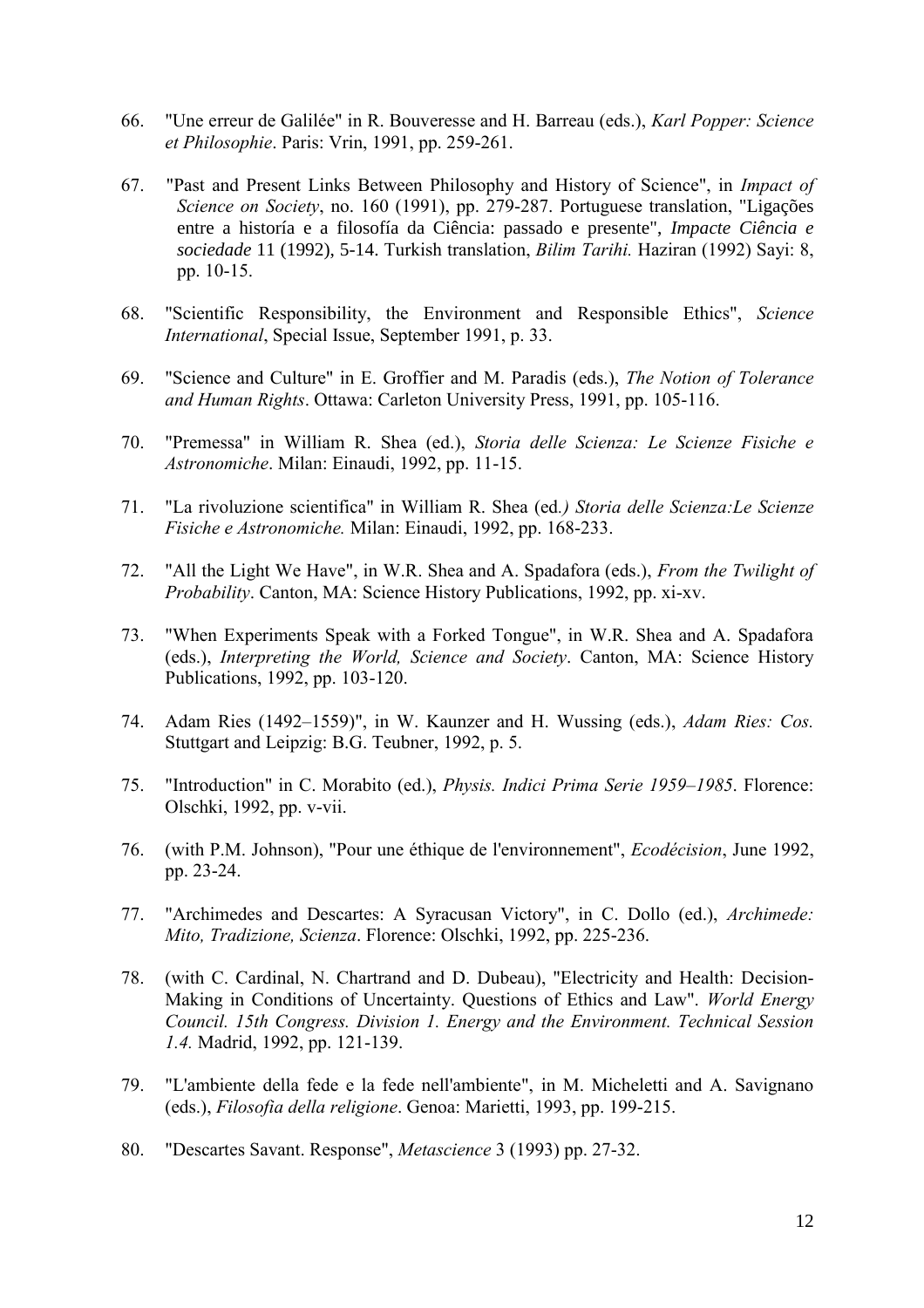- 66. "Une erreur de Galilée" in R. Bouveresse and H. Barreau (eds.), *Karl Popper: Science et Philosophie*. Paris: Vrin, 1991, pp. 259-261.
- 67. "Past and Present Links Between Philosophy and History of Science", in *Impact of Science on Society*, no. 160 (1991), pp. 279-287. Portuguese translation, "Ligações entre a historía e a filosofía da Ciência: passado e presente", *Impacte Ciência e sociedade* 11 (1992), 5-14. Turkish translation, *Bilim Tarihi.* Haziran (1992) Sayi: 8, pp. 10-15.
- 68. "Scientific Responsibility, the Environment and Responsible Ethics", *Science International*, Special Issue, September 1991, p. 33.
- 69. "Science and Culture" in E. Groffier and M. Paradis (eds.), *The Notion of Tolerance and Human Rights*. Ottawa: Carleton University Press, 1991, pp. 105-116.
- 70. "Premessa" in William R. Shea (ed.), *Storia delle Scienza: Le Scienze Fisiche e Astronomiche*. Milan: Einaudi, 1992, pp. 11-15.
- 71. "La rivoluzione scientifica" in William R. Shea (ed*.) Storia delle Scienza:Le Scienze Fisiche e Astronomiche.* Milan: Einaudi, 1992, pp. 168-233.
- 72. "All the Light We Have", in W.R. Shea and A. Spadafora (eds.), *From the Twilight of Probability*. Canton, MA: Science History Publications, 1992, pp. xi-xv.
- 73. "When Experiments Speak with a Forked Tongue", in W.R. Shea and A. Spadafora (eds.), *Interpreting the World, Science and Society*. Canton, MA: Science History Publications, 1992, pp. 103-120.
- 74. Adam Ries (1492–1559)", in W. Kaunzer and H. Wussing (eds.), *Adam Ries: Cos.* Stuttgart and Leipzig: B.G. Teubner, 1992, p. 5.
- 75. "Introduction" in C. Morabito (ed.), *Physis. Indici Prima Serie 1959–1985*. Florence: Olschki, 1992, pp. v-vii.
- 76. (with P.M. Johnson), "Pour une éthique de l'environnement", *Ecodécision*, June 1992, pp. 23-24.
- 77. "Archimedes and Descartes: A Syracusan Victory", in C. Dollo (ed.), *Archimede: Mito, Tradizione, Scienza*. Florence: Olschki, 1992, pp. 225-236.
- 78. (with C. Cardinal, N. Chartrand and D. Dubeau), "Electricity and Health: Decision-Making in Conditions of Uncertainty. Questions of Ethics and Law". *World Energy Council. 15th Congress. Division 1. Energy and the Environment. Technical Session 1.4.* Madrid, 1992, pp. 121-139.
- 79. "L'ambiente della fede e la fede nell'ambiente", in M. Micheletti and A. Savignano (eds.), *Filosofia della religione*. Genoa: Marietti, 1993, pp. 199-215.
- 80. "Descartes Savant. Response", *Metascience* 3 (1993) pp. 27-32.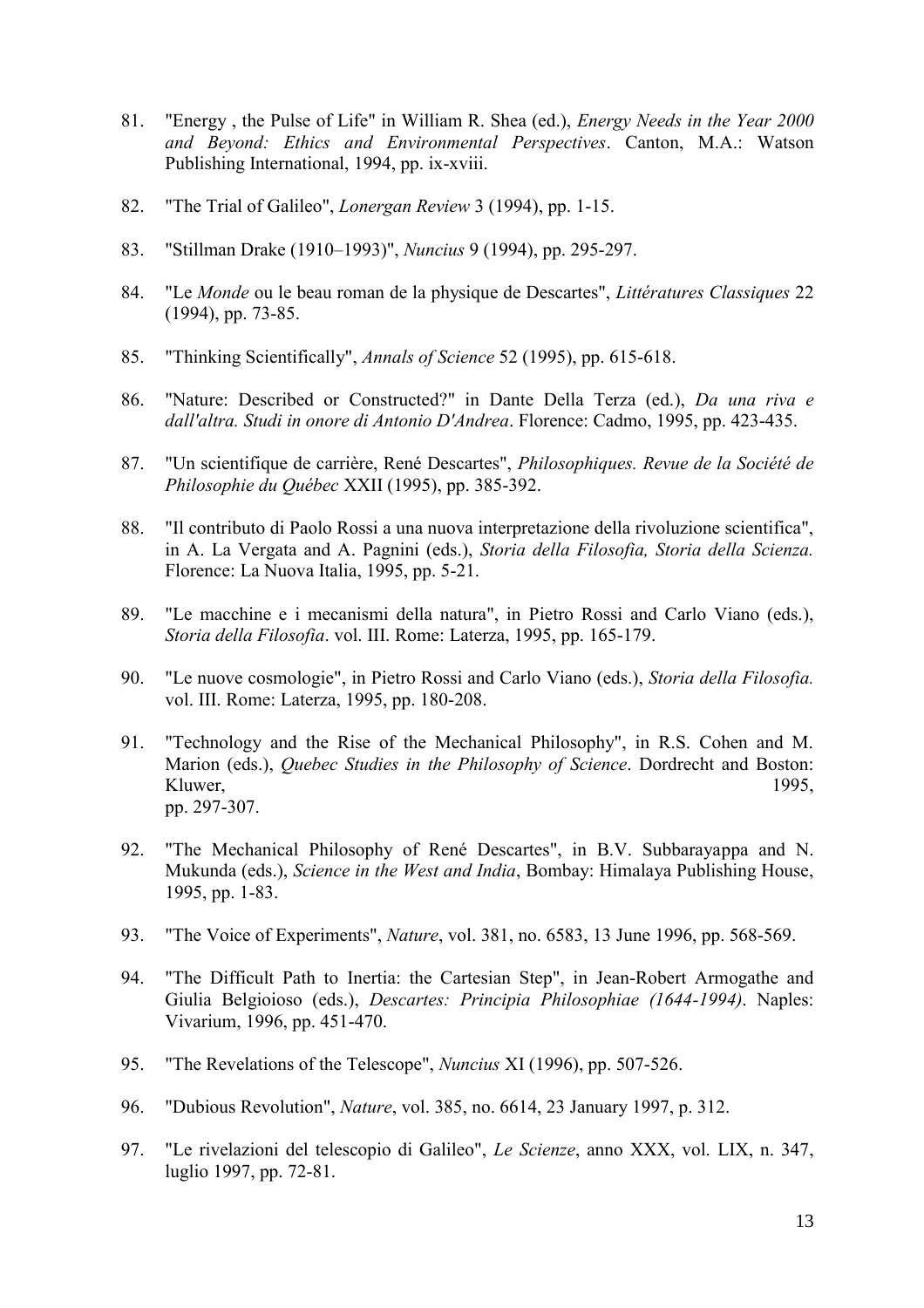- 81. "Energy , the Pulse of Life" in William R. Shea (ed.), *Energy Needs in the Year 2000 and Beyond: Ethics and Environmental Perspectives*. Canton, M.A.: Watson Publishing International, 1994, pp. ix-xviii.
- 82. "The Trial of Galileo", *Lonergan Review* 3 (1994), pp. 1-15.
- 83. "Stillman Drake (1910–1993)", *Nuncius* 9 (1994), pp. 295-297.
- 84. "Le *Monde* ou le beau roman de la physique de Descartes", *Littératures Classiques* 22 (1994), pp. 73-85.
- 85. "Thinking Scientifically", *Annals of Science* 52 (1995), pp. 615-618.
- 86. "Nature: Described or Constructed?" in Dante Della Terza (ed.), *Da una riva e dall'altra. Studi in onore di Antonio D'Andrea*. Florence: Cadmo, 1995, pp. 423-435.
- 87. "Un scientifique de carrière, René Descartes", *Philosophiques. Revue de la Société de Philosophie du Québec* XXII (1995), pp. 385-392.
- 88. "Il contributo di Paolo Rossi a una nuova interpretazione della rivoluzione scientifica", in A. La Vergata and A. Pagnini (eds.), *Storia della Filosofia, Storia della Scienza.* Florence: La Nuova Italia, 1995, pp. 5-21.
- 89. "Le macchine e i mecanismi della natura", in Pietro Rossi and Carlo Viano (eds.), *Storia della Filosofia*. vol. III. Rome: Laterza, 1995, pp. 165-179.
- 90. "Le nuove cosmologie", in Pietro Rossi and Carlo Viano (eds.), *Storia della Filosofia.* vol. III. Rome: Laterza, 1995, pp. 180-208.
- 91. "Technology and the Rise of the Mechanical Philosophy", in R.S. Cohen and M. Marion (eds.), *Quebec Studies in the Philosophy of Science*. Dordrecht and Boston: Kluwer, 1995, pp. 297-307.
- 92. "The Mechanical Philosophy of René Descartes", in B.V. Subbarayappa and N. Mukunda (eds.), *Science in the West and India*, Bombay: Himalaya Publishing House, 1995, pp. 1-83.
- 93. "The Voice of Experiments", *Nature*, vol. 381, no. 6583, 13 June 1996, pp. 568-569.
- 94. "The Difficult Path to Inertia: the Cartesian Step", in Jean-Robert Armogathe and Giulia Belgioioso (eds.), *Descartes: Principia Philosophiae (1644-1994)*. Naples: Vivarium, 1996, pp. 451-470.
- 95. "The Revelations of the Telescope", *Nuncius* XI (1996), pp. 507-526.
- 96. "Dubious Revolution", *Nature*, vol. 385, no. 6614, 23 January 1997, p. 312.
- 97. "Le rivelazioni del telescopio di Galileo", *Le Scienze*, anno XXX, vol. LIX, n. 347, luglio 1997, pp. 72-81.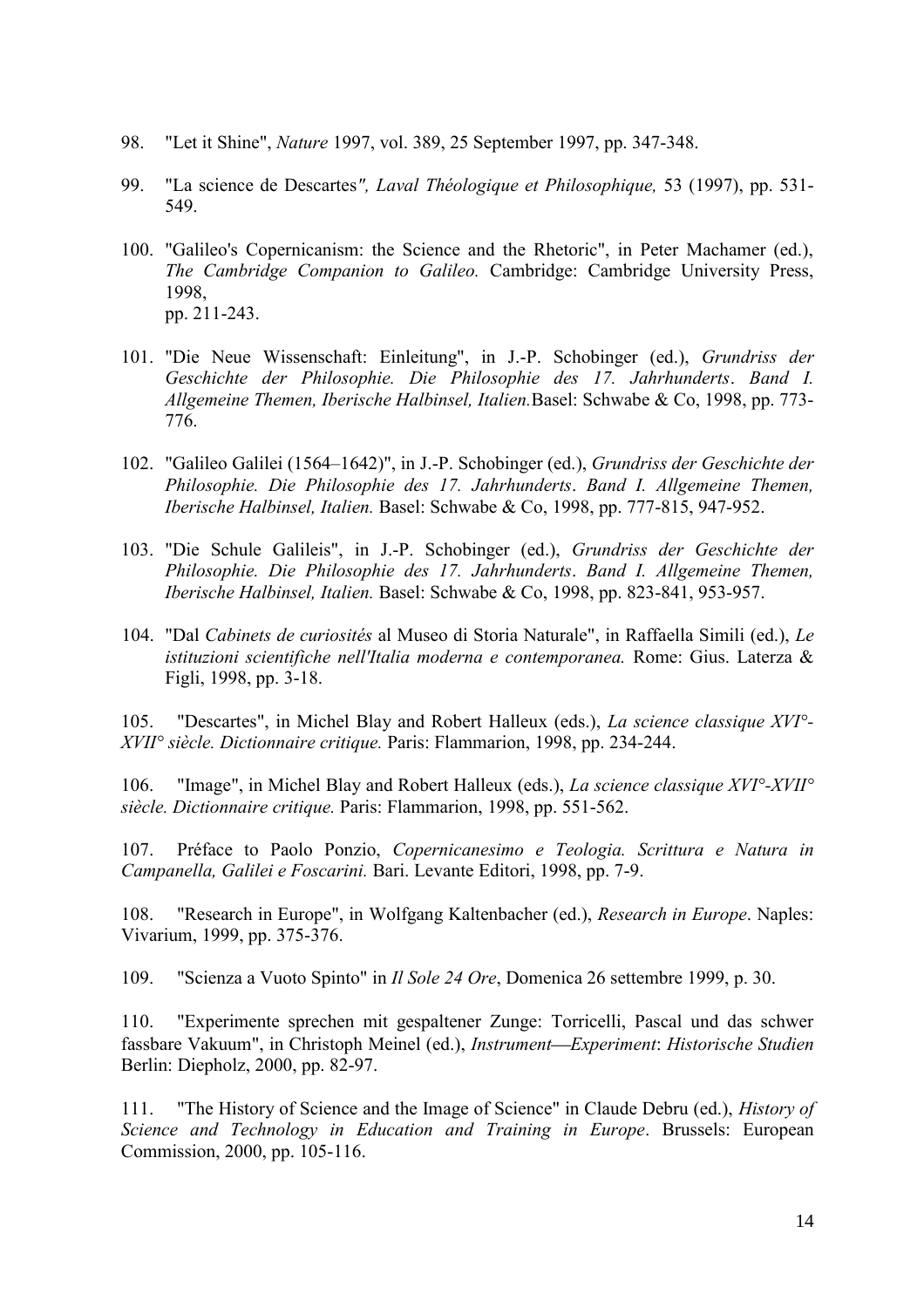- 98. "Let it Shine", *Nature* 1997, vol. 389, 25 September 1997, pp. 347-348.
- 99. "La science de Descartes*", Laval Théologique et Philosophique,* 53 (1997), pp. 531- 549.
- 100. "Galileo's Copernicanism: the Science and the Rhetoric", in Peter Machamer (ed.), *The Cambridge Companion to Galileo.* Cambridge: Cambridge University Press, 1998, pp. 211-243.
- 101. "Die Neue Wissenschaft: Einleitung", in J.-P. Schobinger (ed.), *Grundriss der Geschichte der Philosophie. Die Philosophie des 17. Jahrhunderts*. *Band I. Allgemeine Themen, Iberische Halbinsel, Italien.*Basel: Schwabe & Co, 1998, pp. 773- 776.
- 102. "Galileo Galilei (1564–1642)", in J.-P. Schobinger (ed.), *Grundriss der Geschichte der Philosophie. Die Philosophie des 17. Jahrhunderts*. *Band I. Allgemeine Themen, Iberische Halbinsel, Italien.* Basel: Schwabe & Co, 1998, pp. 777-815, 947-952.
- 103. "Die Schule Galileis", in J.-P. Schobinger (ed.), *Grundriss der Geschichte der Philosophie. Die Philosophie des 17. Jahrhunderts*. *Band I. Allgemeine Themen, Iberische Halbinsel, Italien.* Basel: Schwabe & Co, 1998, pp. 823-841, 953-957.
- 104. "Dal *Cabinets de curiosités* al Museo di Storia Naturale", in Raffaella Simili (ed.), *Le istituzioni scientifiche nell'Italia moderna e contemporanea.* Rome: Gius. Laterza & Figli, 1998, pp. 3-18.

105. "Descartes", in Michel Blay and Robert Halleux (eds.), *La science classique XVI°- XVII° siècle. Dictionnaire critique.* Paris: Flammarion, 1998, pp. 234-244.

106. "Image", in Michel Blay and Robert Halleux (eds.), *La science classique XVI°-XVII° siècle. Dictionnaire critique.* Paris: Flammarion, 1998, pp. 551-562.

107. Préface to Paolo Ponzio, *Copernicanesimo e Teologia. Scrittura e Natura in Campanella, Galilei e Foscarini.* Bari. Levante Editori, 1998, pp. 7-9.

108. "Research in Europe", in Wolfgang Kaltenbacher (ed.), *Research in Europe*. Naples: Vivarium, 1999, pp. 375-376.

109. "Scienza a Vuoto Spinto" in *Il Sole 24 Ore*, Domenica 26 settembre 1999, p. 30.

110. "Experimente sprechen mit gespaltener Zunge: Torricelli, Pascal und das schwer fassbare Vakuum", in Christoph Meinel (ed.), *Instrument Experiment*: *Historische Studien* Berlin: Diepholz, 2000, pp. 82-97.

111. "The History of Science and the Image of Science" in Claude Debru (ed.), *History of Science and Technology in Education and Training in Europe. Brussels: European* Commission, 2000, pp. 105-116.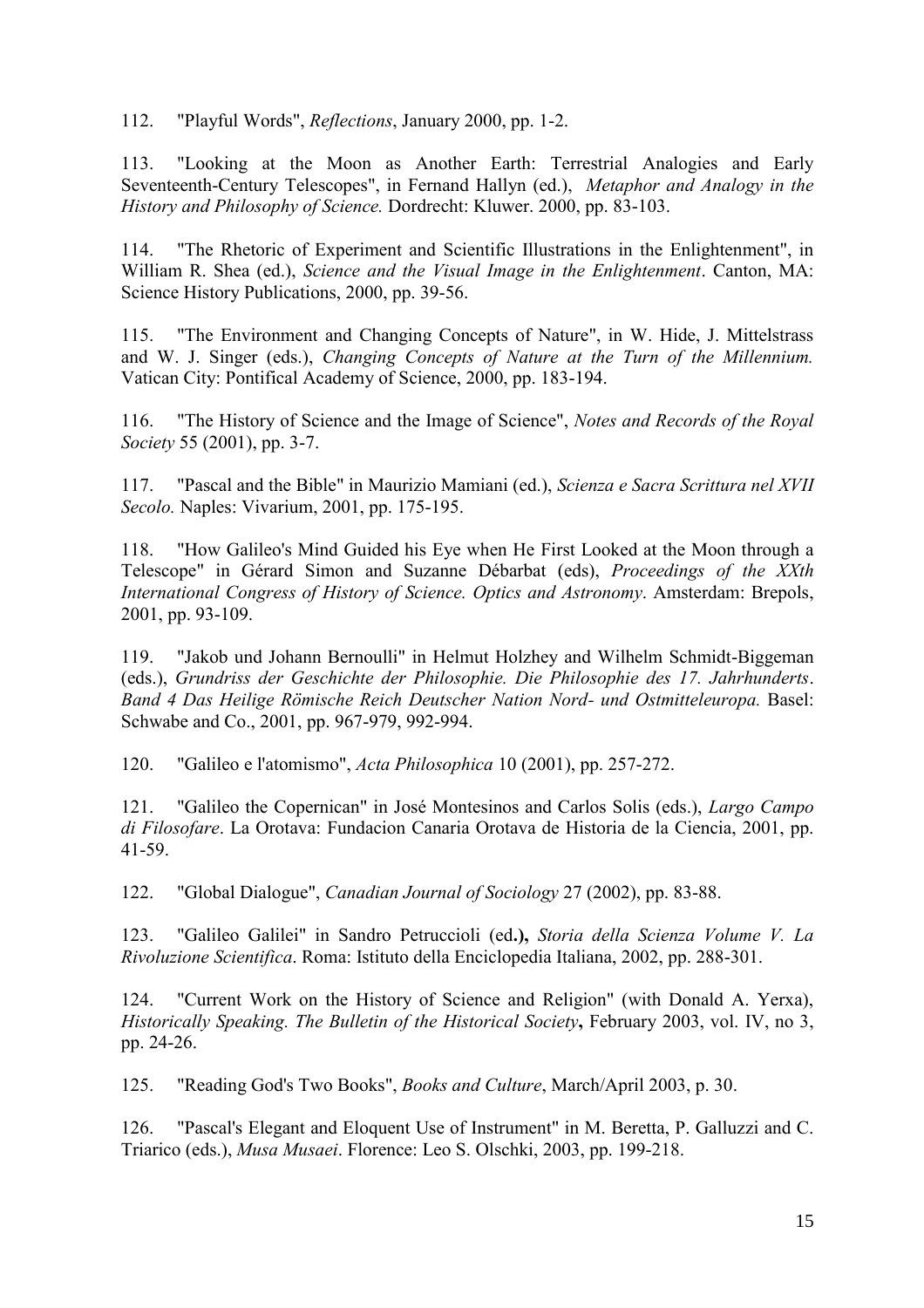112. "Playful Words", *Reflections*, January 2000, pp. 1-2.

113. "Looking at the Moon as Another Earth: Terrestrial Analogies and Early Seventeenth-Century Telescopes", in Fernand Hallyn (ed.), *Metaphor and Analogy in the History and Philosophy of Science.* Dordrecht: Kluwer. 2000, pp. 83-103.

114. "The Rhetoric of Experiment and Scientific Illustrations in the Enlightenment", in William R. Shea (ed.), *Science and the Visual Image in the Enlightenment*. Canton, MA: Science History Publications, 2000, pp. 39-56.

115. "The Environment and Changing Concepts of Nature", in W. Hide, J. Mittelstrass and W. J. Singer (eds.), *Changing Concepts of Nature at the Turn of the Millennium.* Vatican City: Pontifical Academy of Science, 2000, pp. 183-194.

116. "The History of Science and the Image of Science", *Notes and Records of the Royal Society* 55 (2001), pp. 3-7.

117. "Pascal and the Bible" in Maurizio Mamiani (ed.), *Scienza e Sacra Scrittura nel XVII Secolo.* Naples: Vivarium, 2001, pp. 175-195.

118. "How Galileo's Mind Guided his Eye when He First Looked at the Moon through a Telescope" in Gérard Simon and Suzanne Débarbat (eds), *Proceedings of the XXth International Congress of History of Science. Optics and Astronomy*. Amsterdam: Brepols, 2001, pp. 93-109.

119. "Jakob und Johann Bernoulli" in Helmut Holzhey and Wilhelm Schmidt-Biggeman (eds.), *Grundriss der Geschichte der Philosophie. Die Philosophie des 17. Jahrhunderts*. *Band 4 Das Heilige Römische Reich Deutscher Nation Nord- und Ostmitteleuropa.* Basel: Schwabe and Co., 2001, pp. 967-979, 992-994.

120. "Galileo e l'atomismo", *Acta Philosophica* 10 (2001), pp. 257-272.

121. "Galileo the Copernican" in José Montesinos and Carlos Solis (eds.), *Largo Campo di Filosofare*. La Orotava: Fundacion Canaria Orotava de Historia de la Ciencia, 2001, pp. 41-59.

122. "Global Dialogue", *Canadian Journal of Sociology* 27 (2002), pp. 83-88.

123. "Galileo Galilei" in Sandro Petruccioli (ed**.),** *Storia della Scienza Volume V. La Rivoluzione Scientifica*. Roma: Istituto della Enciclopedia Italiana, 2002, pp. 288-301.

124. "Current Work on the History of Science and Religion" (with Donald A. Yerxa), *Historically Speaking. The Bulletin of the Historical Society***,** February 2003, vol. IV, no 3, pp. 24-26.

125. "Reading God's Two Books", *Books and Culture*, March/April 2003, p. 30.

126. "Pascal's Elegant and Eloquent Use of Instrument" in M. Beretta, P. Galluzzi and C. Triarico (eds.), *Musa Musaei*. Florence: Leo S. Olschki, 2003, pp. 199-218.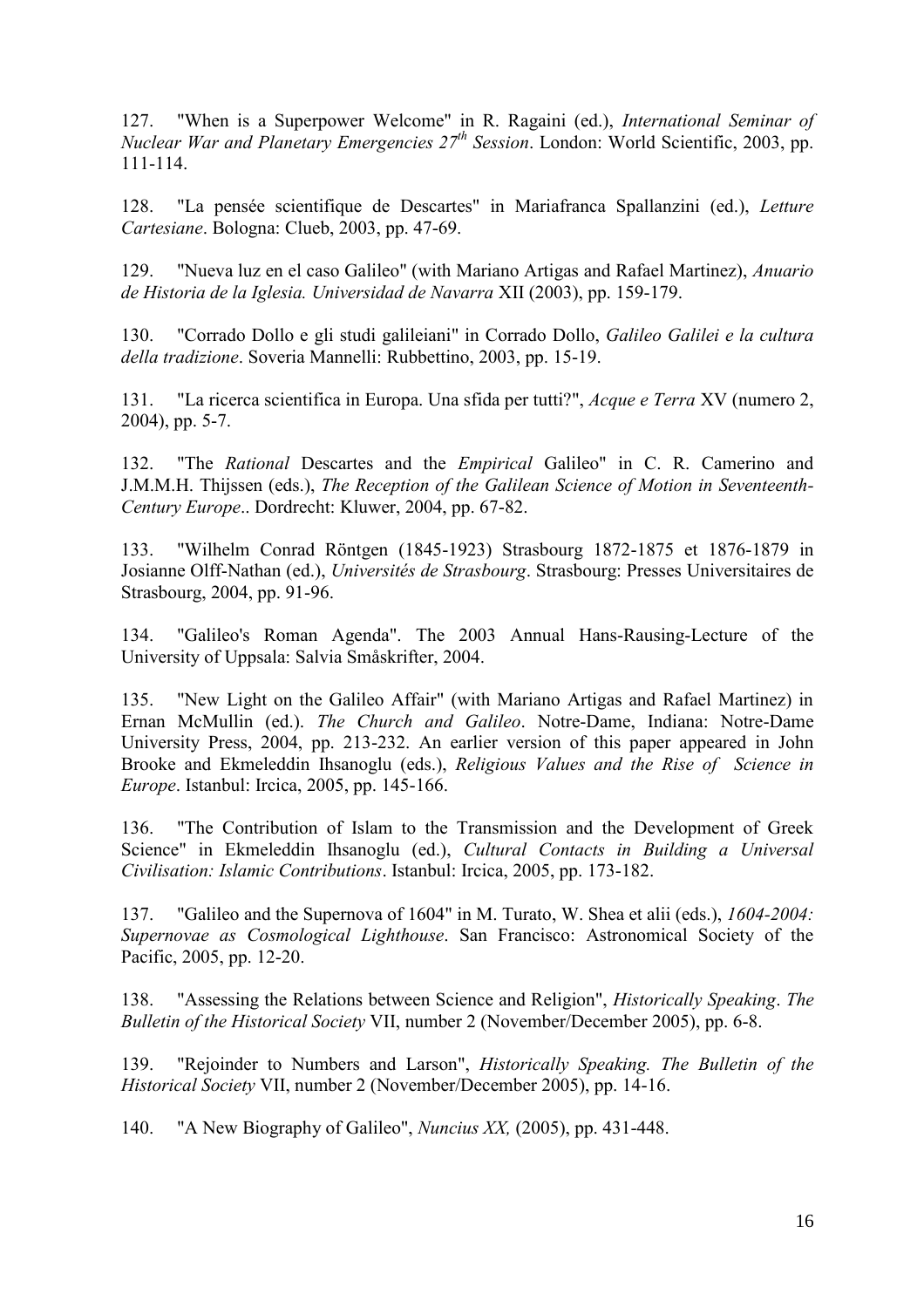127. "When is a Superpower Welcome" in R. Ragaini (ed.), *International Seminar of Nuclear War and Planetary Emergencies 27th Session*. London: World Scientific, 2003, pp. 111-114.

128. "La pensée scientifique de Descartes" in Mariafranca Spallanzini (ed.), *Letture Cartesiane*. Bologna: Clueb, 2003, pp. 47-69.

129. "Nueva luz en el caso Galileo" (with Mariano Artigas and Rafael Martinez), *Anuario de Historia de la Iglesia. Universidad de Navarra* XII (2003), pp. 159-179.

130. "Corrado Dollo e gli studi galileiani" in Corrado Dollo, *Galileo Galilei e la cultura della tradizione*. Soveria Mannelli: Rubbettino, 2003, pp. 15-19.

131. "La ricerca scientifica in Europa. Una sfida per tutti?", *Acque e Terra* XV (numero 2, 2004), pp. 5-7.

132. "The *Rational* Descartes and the *Empirical* Galileo" in C. R. Camerino and J.M.M.H. Thijssen (eds.), *The Reception of the Galilean Science of Motion in Seventeenth-Century Europe*.. Dordrecht: Kluwer, 2004, pp. 67-82.

133. "Wilhelm Conrad Röntgen (1845-1923) Strasbourg 1872-1875 et 1876-1879 in Josianne Olff-Nathan (ed.), *Universités de Strasbourg*. Strasbourg: Presses Universitaires de Strasbourg, 2004, pp. 91-96.

134. "Galileo's Roman Agenda". The 2003 Annual Hans-Rausing-Lecture of the University of Uppsala: Salvia Småskrifter, 2004.

135. "New Light on the Galileo Affair" (with Mariano Artigas and Rafael Martinez) in Ernan McMullin (ed.). *The Church and Galileo*. Notre-Dame, Indiana: Notre-Dame University Press, 2004, pp. 213-232. An earlier version of this paper appeared in John Brooke and Ekmeleddin Ihsanoglu (eds.), *Religious Values and the Rise of Science in Europe*. Istanbul: Ircica, 2005, pp. 145-166.

136. "The Contribution of Islam to the Transmission and the Development of Greek Science" in Ekmeleddin Ihsanoglu (ed.), *Cultural Contacts in Building a Universal Civilisation: Islamic Contributions*. Istanbul: Ircica, 2005, pp. 173-182.

137. "Galileo and the Supernova of 1604" in M. Turato, W. Shea et alii (eds.), *1604-2004: Supernovae as Cosmological Lighthouse*. San Francisco: Astronomical Society of the Pacific, 2005, pp. 12-20.

138. "Assessing the Relations between Science and Religion", *Historically Speaking*. *The Bulletin of the Historical Society* VII, number 2 (November/December 2005), pp. 6-8.

139. "Rejoinder to Numbers and Larson", *Historically Speaking. The Bulletin of the Historical Society* VII, number 2 (November/December 2005), pp. 14-16.

140. "A New Biography of Galileo", *Nuncius XX,* (2005), pp. 431-448.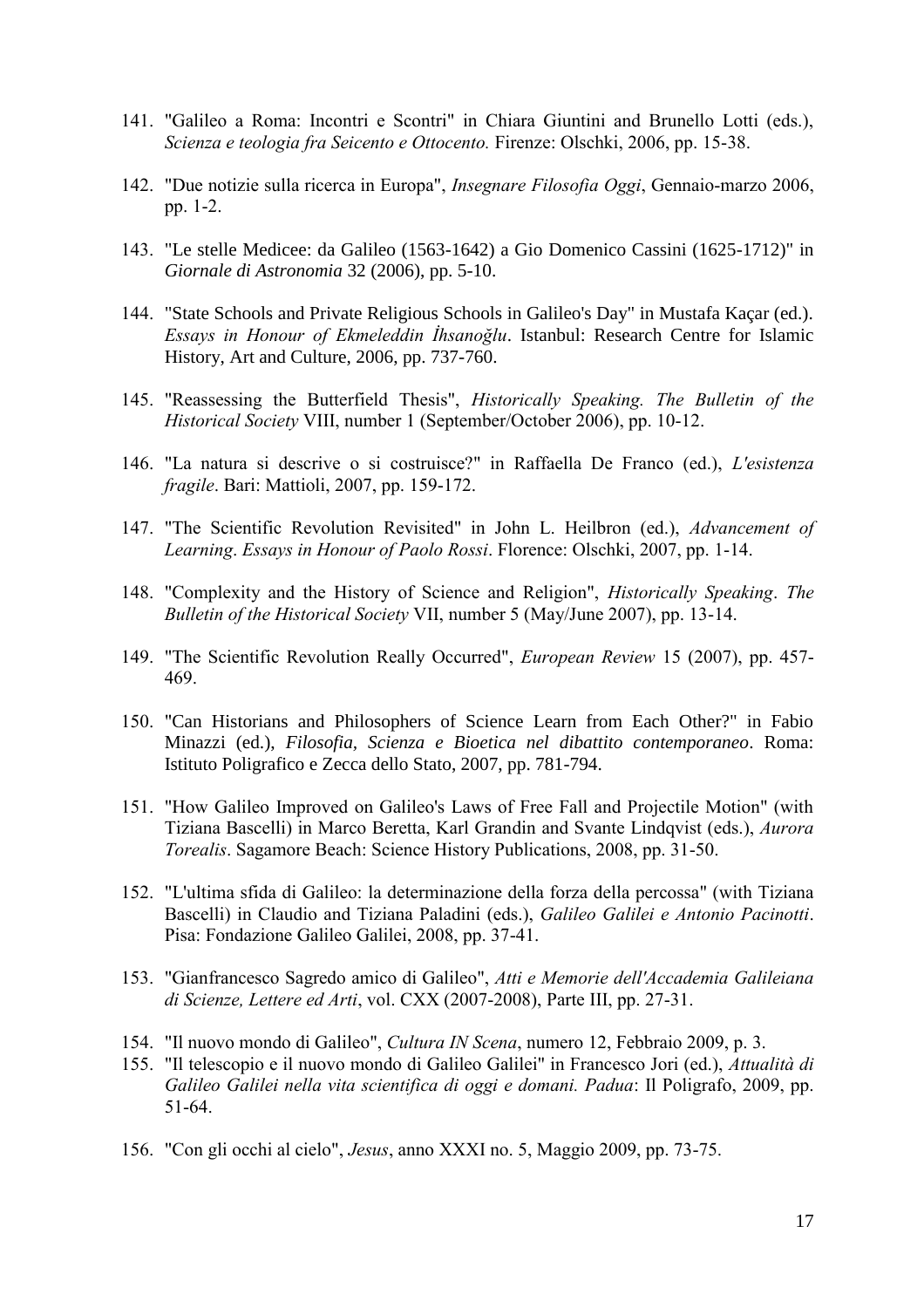- 141. "Galileo a Roma: Incontri e Scontri" in Chiara Giuntini and Brunello Lotti (eds.), *Scienza e teologia fra Seicento e Ottocento.* Firenze: Olschki, 2006, pp. 15-38.
- 142. "Due notizie sulla ricerca in Europa", *Insegnare Filosofia Oggi*, Gennaio-marzo 2006, pp. 1-2.
- 143. "Le stelle Medicee: da Galileo (1563-1642) a Gio Domenico Cassini (1625-1712)" in *Giornale di Astronomia* 32 (2006), pp. 5-10.
- 144. "State Schools and Private Religious Schools in Galileo's Day" in Mustafa Kaçar (ed.). *Essays in Honour of Ekmeleddin İhsanoğlu*. Istanbul: Research Centre for Islamic History, Art and Culture, 2006, pp. 737-760.
- 145. "Reassessing the Butterfield Thesis", *Historically Speaking. The Bulletin of the Historical Society* VIII, number 1 (September/October 2006), pp. 10-12.
- 146. "La natura si descrive o si costruisce?" in Raffaella De Franco (ed.), *L'esistenza fragile*. Bari: Mattioli, 2007, pp. 159-172.
- 147. "The Scientific Revolution Revisited" in John L. Heilbron (ed.), *Advancement of Learning*. *Essays in Honour of Paolo Rossi*. Florence: Olschki, 2007, pp. 1-14.
- 148. "Complexity and the History of Science and Religion", *Historically Speaking*. *The Bulletin of the Historical Society* VII, number 5 (May/June 2007), pp. 13-14.
- 149. "The Scientific Revolution Really Occurred", *European Review* 15 (2007), pp. 457- 469.
- 150. "Can Historians and Philosophers of Science Learn from Each Other?" in Fabio Minazzi (ed.), *Filosofia, Scienza e Bioetica nel dibattito contemporaneo*. Roma: Istituto Poligrafico e Zecca dello Stato, 2007, pp. 781-794.
- 151. "How Galileo Improved on Galileo's Laws of Free Fall and Projectile Motion" (with Tiziana Bascelli) in Marco Beretta, Karl Grandin and Svante Lindqvist (eds.), *Aurora Torealis*. Sagamore Beach: Science History Publications, 2008, pp. 31-50.
- 152. "L'ultima sfida di Galileo: la determinazione della forza della percossa" (with Tiziana Bascelli) in Claudio and Tiziana Paladini (eds.), *Galileo Galilei e Antonio Pacinotti*. Pisa: Fondazione Galileo Galilei, 2008, pp. 37-41.
- 153. "Gianfrancesco Sagredo amico di Galileo", *Atti e Memorie dell'Accademia Galileiana di Scienze, Lettere ed Arti*, vol. CXX (2007-2008), Parte III, pp. 27-31.
- 154. "Il nuovo mondo di Galileo", *Cultura IN Scena*, numero 12, Febbraio 2009, p. 3.
- 155. "Il telescopio e il nuovo mondo di Galileo Galilei" in Francesco Jori (ed.), *Attualità di Galileo Galilei nella vita scientifica di oggi e domani. Padua*: Il Poligrafo, 2009, pp. 51-64.
- 156. "Con gli occhi al cielo", *Jesus*, anno XXXI no. 5, Maggio 2009, pp. 73-75.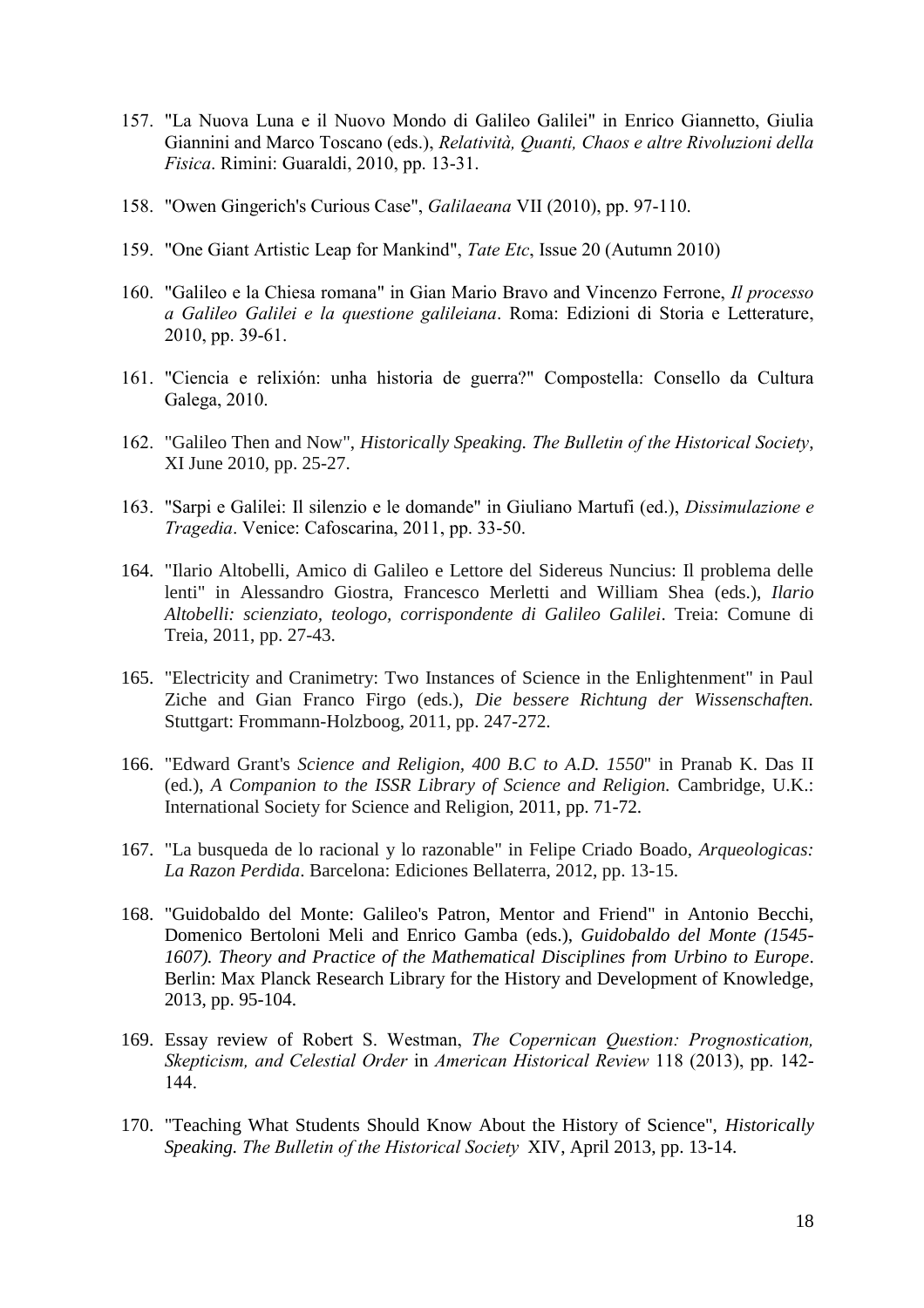- 157. "La Nuova Luna e il Nuovo Mondo di Galileo Galilei" in Enrico Giannetto, Giulia Giannini and Marco Toscano (eds.), *Relatività, Quanti, Chaos e altre Rivoluzioni della Fisica*. Rimini: Guaraldi, 2010, pp. 13-31.
- 158. "Owen Gingerich's Curious Case", *Galilaeana* VII (2010), pp. 97-110.
- 159. "One Giant Artistic Leap for Mankind", *Tate Etc*, Issue 20 (Autumn 2010)
- 160. "Galileo e la Chiesa romana" in Gian Mario Bravo and Vincenzo Ferrone, *Il processo a Galileo Galilei e la questione galileiana*. Roma: Edizioni di Storia e Letterature, 2010, pp. 39-61.
- 161. "Ciencia e relixión: unha historia de guerra?" Compostella: Consello da Cultura Galega, 2010.
- 162. "Galileo Then and Now", *Historically Speaking. The Bulletin of the Historical Society*, XI June 2010, pp. 25-27.
- 163. "Sarpi e Galilei: Il silenzio e le domande" in Giuliano Martufi (ed.), *Dissimulazione e Tragedia*. Venice: Cafoscarina, 2011, pp. 33-50.
- 164. "Ilario Altobelli, Amico di Galileo e Lettore del Sidereus Nuncius: Il problema delle lenti" in Alessandro Giostra, Francesco Merletti and William Shea (eds.), *Ilario Altobelli: scienziato, teologo, corrispondente di Galileo Galilei*. Treia: Comune di Treia, 2011, pp. 27-43.
- 165. "Electricity and Cranimetry: Two Instances of Science in the Enlightenment" in Paul Ziche and Gian Franco Firgo (eds.), *Die bessere Richtung der Wissenschaften.* Stuttgart: Frommann-Holzboog, 2011, pp. 247-272.
- 166. "Edward Grant's *Science and Religion, 400 B.C to A.D. 1550*" in Pranab K. Das II (ed.), *A Companion to the ISSR Library of Science and Religion.* Cambridge, U.K.: International Society for Science and Religion, 2011, pp. 71-72.
- 167. "La busqueda de lo racional y lo razonable" in Felipe Criado Boado, *Arqueologicas: La Razon Perdida*. Barcelona: Ediciones Bellaterra, 2012, pp. 13-15.
- 168. "Guidobaldo del Monte: Galileo's Patron, Mentor and Friend" in Antonio Becchi, Domenico Bertoloni Meli and Enrico Gamba (eds.), *Guidobaldo del Monte (1545- 1607). Theory and Practice of the Mathematical Disciplines from Urbino to Europe*. Berlin: Max Planck Research Library for the History and Development of Knowledge, 2013, pp. 95-104.
- 169. Essay review of Robert S. Westman, *The Copernican Question: Prognostication, Skepticism, and Celestial Order* in *American Historical Review* 118 (2013), pp. 142- 144.
- 170. "Teaching What Students Should Know About the History of Science", *Historically Speaking. The Bulletin of the Historical Society* XIV, April 2013, pp. 13-14.